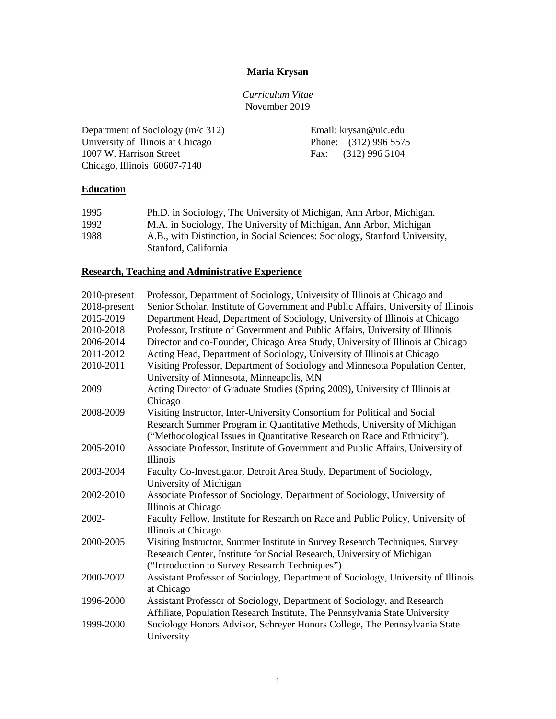## **Maria Krysan**

*Curriculum Vitae* November 2019

Department of Sociology (m/c 312)<br>
University of Illinois at Chicago<br>
Phone: (312) 996 5575 University of Illinois at Chicago 1007 W. Harrison Street Fax: (312) 996 5104 Chicago, Illinois 60607-7140

### **Education**

| 1995 | Ph.D. in Sociology, The University of Michigan, Ann Arbor, Michigan.        |
|------|-----------------------------------------------------------------------------|
| 1992 | M.A. in Sociology, The University of Michigan, Ann Arbor, Michigan          |
| 1988 | A.B., with Distinction, in Social Sciences: Sociology, Stanford University, |
|      | Stanford, California                                                        |

## **Research, Teaching and Administrative Experience**

| 2010-present | Professor, Department of Sociology, University of Illinois at Chicago and          |
|--------------|------------------------------------------------------------------------------------|
| 2018-present | Senior Scholar, Institute of Government and Public Affairs, University of Illinois |
| 2015-2019    | Department Head, Department of Sociology, University of Illinois at Chicago        |
| 2010-2018    | Professor, Institute of Government and Public Affairs, University of Illinois      |
| 2006-2014    | Director and co-Founder, Chicago Area Study, University of Illinois at Chicago     |
| 2011-2012    | Acting Head, Department of Sociology, University of Illinois at Chicago            |
| 2010-2011    | Visiting Professor, Department of Sociology and Minnesota Population Center,       |
|              | University of Minnesota, Minneapolis, MN                                           |
| 2009         | Acting Director of Graduate Studies (Spring 2009), University of Illinois at       |
|              | Chicago                                                                            |
| 2008-2009    | Visiting Instructor, Inter-University Consortium for Political and Social          |
|              | Research Summer Program in Quantitative Methods, University of Michigan            |
|              | ("Methodological Issues in Quantitative Research on Race and Ethnicity").          |
| 2005-2010    | Associate Professor, Institute of Government and Public Affairs, University of     |
|              | <b>Illinois</b>                                                                    |
| 2003-2004    | Faculty Co-Investigator, Detroit Area Study, Department of Sociology,              |
|              | University of Michigan                                                             |
| 2002-2010    | Associate Professor of Sociology, Department of Sociology, University of           |
|              | Illinois at Chicago                                                                |
| 2002-        | Faculty Fellow, Institute for Research on Race and Public Policy, University of    |
|              | Illinois at Chicago                                                                |
| 2000-2005    | Visiting Instructor, Summer Institute in Survey Research Techniques, Survey        |
|              | Research Center, Institute for Social Research, University of Michigan             |
|              | ("Introduction to Survey Research Techniques").                                    |
| 2000-2002    | Assistant Professor of Sociology, Department of Sociology, University of Illinois  |
|              | at Chicago                                                                         |
| 1996-2000    | Assistant Professor of Sociology, Department of Sociology, and Research            |
|              | Affiliate, Population Research Institute, The Pennsylvania State University        |
| 1999-2000    | Sociology Honors Advisor, Schreyer Honors College, The Pennsylvania State          |
|              | University                                                                         |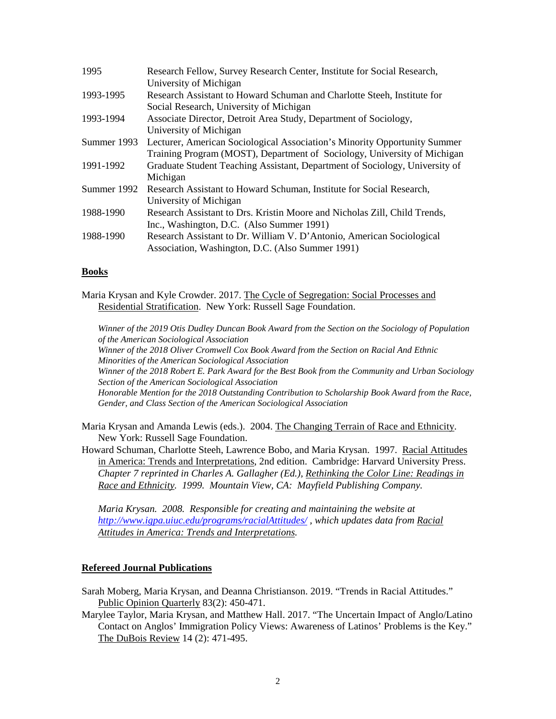| 1995        | Research Fellow, Survey Research Center, Institute for Social Research,     |
|-------------|-----------------------------------------------------------------------------|
|             | University of Michigan                                                      |
| 1993-1995   | Research Assistant to Howard Schuman and Charlotte Steeh, Institute for     |
|             | Social Research, University of Michigan                                     |
| 1993-1994   | Associate Director, Detroit Area Study, Department of Sociology,            |
|             | University of Michigan                                                      |
| Summer 1993 | Lecturer, American Sociological Association's Minority Opportunity Summer   |
|             | Training Program (MOST), Department of Sociology, University of Michigan    |
| 1991-1992   | Graduate Student Teaching Assistant, Department of Sociology, University of |
|             | Michigan                                                                    |
| Summer 1992 | Research Assistant to Howard Schuman, Institute for Social Research,        |
|             | University of Michigan                                                      |
| 1988-1990   | Research Assistant to Drs. Kristin Moore and Nicholas Zill, Child Trends,   |
|             | Inc., Washington, D.C. (Also Summer 1991)                                   |
| 1988-1990   | Research Assistant to Dr. William V. D'Antonio, American Sociological       |
|             | Association, Washington, D.C. (Also Summer 1991)                            |

### **Books**

Maria Krysan and Kyle Crowder. 2017. The Cycle of Segregation: Social Processes and Residential Stratification. New York: Russell Sage Foundation.

*Winner of the 2019 Otis Dudley Duncan Book Award from the Section on the Sociology of Population of the American Sociological Association Winner of the 2018 Oliver Cromwell Cox Book Award from the Section on Racial And Ethnic Minorities of the American Sociological Association Winner of the 2018 Robert E. Park Award for the Best Book from the Community and Urban Sociology Section of the American Sociological Association Honorable Mention for the 2018 Outstanding Contribution to Scholarship Book Award from the Race, Gender, and Class Section of the American Sociological Association*

Maria Krysan and Amanda Lewis (eds.). 2004. The Changing Terrain of Race and Ethnicity. New York: Russell Sage Foundation.

Howard Schuman, Charlotte Steeh, Lawrence Bobo, and Maria Krysan. 1997. Racial Attitudes in America: Trends and Interpretations, 2nd edition. Cambridge: Harvard University Press. *Chapter 7 reprinted in Charles A. Gallagher (Ed.), Rethinking the Color Line: Readings in Race and Ethnicity. 1999. Mountain View, CA: Mayfield Publishing Company.*

*Maria Krysan. 2008. Responsible for creating and maintaining the website at <http://www.igpa.uiuc.edu/programs/racialAttitudes/> , which updates data from Racial Attitudes in America: Trends and Interpretations.* 

### **Refereed Journal Publications**

- Sarah Moberg, Maria Krysan, and Deanna Christianson. 2019. "Trends in Racial Attitudes." Public Opinion Quarterly 83(2): 450-471.
- Marylee Taylor, Maria Krysan, and Matthew Hall. 2017. "The Uncertain Impact of Anglo/Latino Contact on Anglos' Immigration Policy Views: Awareness of Latinos' Problems is the Key." The DuBois Review 14 (2): 471-495.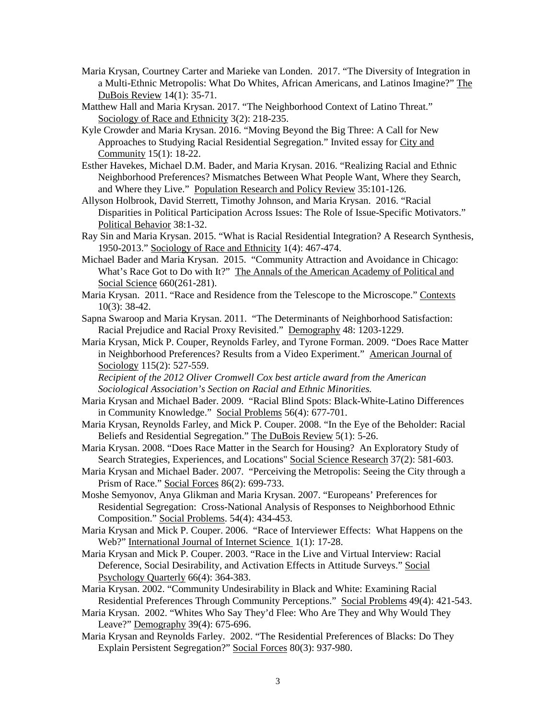- Maria Krysan, Courtney Carter and Marieke van Londen. 2017. "The Diversity of Integration in a Multi-Ethnic Metropolis: What Do Whites, African Americans, and Latinos Imagine?" The DuBois Review 14(1): 35-71.
- Matthew Hall and Maria Krysan. 2017. "The Neighborhood Context of Latino Threat." Sociology of Race and Ethnicity 3(2): 218-235.
- Kyle Crowder and Maria Krysan. 2016. "Moving Beyond the Big Three: A Call for New Approaches to Studying Racial Residential Segregation." Invited essay for City and Community 15(1): 18-22.
- Esther Havekes, Michael D.M. Bader, and Maria Krysan. 2016. "Realizing Racial and Ethnic Neighborhood Preferences? Mismatches Between What People Want, Where they Search, and Where they Live." Population Research and Policy Review 35:101-126.
- Allyson Holbrook, David Sterrett, Timothy Johnson, and Maria Krysan. 2016. "Racial Disparities in Political Participation Across Issues: The Role of Issue-Specific Motivators." Political Behavior 38:1-32.
- Ray Sin and Maria Krysan. 2015. "What is Racial Residential Integration? A Research Synthesis, 1950-2013." Sociology of Race and Ethnicity 1(4): 467-474.
- Michael Bader and Maria Krysan. 2015. "Community Attraction and Avoidance in Chicago: What's Race Got to Do with It?" The Annals of the American Academy of Political and Social Science 660(261-281).
- Maria Krysan. 2011. "Race and Residence from the Telescope to the Microscope." Contexts 10(3): 38-42.
- Sapna Swaroop and Maria Krysan. 2011. "The Determinants of Neighborhood Satisfaction: Racial Prejudice and Racial Proxy Revisited." Demography 48: 1203-1229.
- Maria Krysan, Mick P. Couper, Reynolds Farley, and Tyrone Forman. 2009. "Does Race Matter in Neighborhood Preferences? Results from a Video Experiment." American Journal of Sociology 115(2): 527-559.

*Recipient of the 2012 Oliver Cromwell Cox best article award from the American Sociological Association's Section on Racial and Ethnic Minorities.*

- Maria Krysan and Michael Bader. 2009. "Racial Blind Spots: Black-White-Latino Differences in Community Knowledge." Social Problems 56(4): 677-701.
- Maria Krysan, Reynolds Farley, and Mick P. Couper. 2008. "In the Eye of the Beholder: Racial Beliefs and Residential Segregation." The DuBois Review 5(1): 5-26.
- Maria Krysan. 2008. "Does Race Matter in the Search for Housing? An Exploratory Study of Search Strategies, Experiences, and Locations" Social Science Research 37(2): 581-603.
- Maria Krysan and Michael Bader. 2007. "Perceiving the Metropolis: Seeing the City through a Prism of Race." Social Forces 86(2): 699-733.
- Moshe Semyonov, Anya Glikman and Maria Krysan. 2007. "Europeans' Preferences for Residential Segregation: Cross-National Analysis of Responses to Neighborhood Ethnic Composition." Social Problems. 54(4): 434-453.
- Maria Krysan and Mick P. Couper. 2006. "Race of Interviewer Effects: What Happens on the Web?" International Journal of Internet Science 1(1): 17-28.
- Maria Krysan and Mick P. Couper. 2003. "Race in the Live and Virtual Interview: Racial Deference, Social Desirability, and Activation Effects in Attitude Surveys." Social Psychology Quarterly 66(4): 364-383.
- Maria Krysan. 2002. "Community Undesirability in Black and White: Examining Racial Residential Preferences Through Community Perceptions." Social Problems 49(4): 421-543.
- Maria Krysan. 2002. "Whites Who Say They'd Flee: Who Are They and Why Would They Leave?" Demography 39(4): 675-696.
- Maria Krysan and Reynolds Farley. 2002. "The Residential Preferences of Blacks: Do They Explain Persistent Segregation?" Social Forces 80(3): 937-980.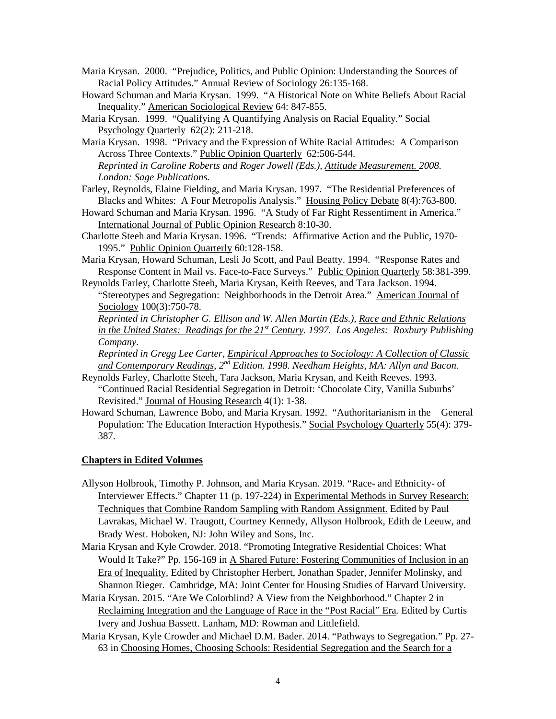- Maria Krysan. 2000. "Prejudice, Politics, and Public Opinion: Understanding the Sources of Racial Policy Attitudes." Annual Review of Sociology 26:135-168.
- Howard Schuman and Maria Krysan. 1999. "A Historical Note on White Beliefs About Racial Inequality." American Sociological Review 64: 847-855.
- Maria Krysan. 1999. "Qualifying A Quantifying Analysis on Racial Equality." Social Psychology Quarterly 62(2): 211-218.
- Maria Krysan. 1998. "Privacy and the Expression of White Racial Attitudes: A Comparison Across Three Contexts." Public Opinion Quarterly 62:506-544. *Reprinted in Caroline Roberts and Roger Jowell (Eds.), Attitude Measurement. 2008. London: Sage Publications.*
- Farley, Reynolds, Elaine Fielding, and Maria Krysan. 1997. "The Residential Preferences of Blacks and Whites: A Four Metropolis Analysis." Housing Policy Debate 8(4):763-800.
- Howard Schuman and Maria Krysan. 1996. "A Study of Far Right Ressentiment in America." International Journal of Public Opinion Research 8:10-30.
- Charlotte Steeh and Maria Krysan. 1996. "Trends: Affirmative Action and the Public, 1970- 1995." Public Opinion Quarterly 60:128-158.
- Maria Krysan, Howard Schuman, Lesli Jo Scott, and Paul Beatty. 1994. "Response Rates and Response Content in Mail vs. Face-to-Face Surveys." Public Opinion Quarterly 58:381-399.
- Reynolds Farley, Charlotte Steeh, Maria Krysan, Keith Reeves, and Tara Jackson. 1994. "Stereotypes and Segregation: Neighborhoods in the Detroit Area." American Journal of Sociology 100(3):750-78.

*Reprinted in Christopher G. Ellison and W. Allen Martin (Eds.), Race and Ethnic Relations in the United States: Readings for the 21st Century. 1997. Los Angeles: Roxbury Publishing Company.* 

*Reprinted in Gregg Lee Carter, Empirical Approaches to Sociology: A Collection of Classic and Contemporary Readings, 2nd Edition. 1998. Needham Heights, MA: Allyn and Bacon.*

- Reynolds Farley, Charlotte Steeh, Tara Jackson, Maria Krysan, and Keith Reeves. 1993. "Continued Racial Residential Segregation in Detroit: 'Chocolate City, Vanilla Suburbs' Revisited." Journal of Housing Research 4(1): 1-38.
- Howard Schuman, Lawrence Bobo, and Maria Krysan. 1992. "Authoritarianism in the General Population: The Education Interaction Hypothesis." Social Psychology Quarterly 55(4): 379-387.

### **Chapters in Edited Volumes**

- Allyson Holbrook, Timothy P. Johnson, and Maria Krysan. 2019. "Race- and Ethnicity- of Interviewer Effects." Chapter 11 (p. 197-224) in Experimental Methods in Survey Research: Techniques that Combine Random Sampling with Random Assignment. Edited by Paul Lavrakas, Michael W. Traugott, Courtney Kennedy, Allyson Holbrook, Edith de Leeuw, and Brady West. Hoboken, NJ: John Wiley and Sons, Inc.
- Maria Krysan and Kyle Crowder. 2018. "Promoting Integrative Residential Choices: What Would It Take?" Pp. 156-169 in A Shared Future: Fostering Communities of Inclusion in an Era of Inequality. Edited by Christopher Herbert, Jonathan Spader, Jennifer Molinsky, and Shannon Rieger. Cambridge, MA: Joint Center for Housing Studies of Harvard University.
- Maria Krysan. 2015. "Are We Colorblind? A View from the Neighborhood." Chapter 2 in Reclaiming Integration and the Language of Race in the "Post Racial" Era*.* Edited by Curtis Ivery and Joshua Bassett. Lanham, MD: Rowman and Littlefield.
- Maria Krysan, Kyle Crowder and Michael D.M. Bader. 2014. "Pathways to Segregation." Pp. 27- 63 in Choosing Homes, Choosing Schools: Residential Segregation and the Search for a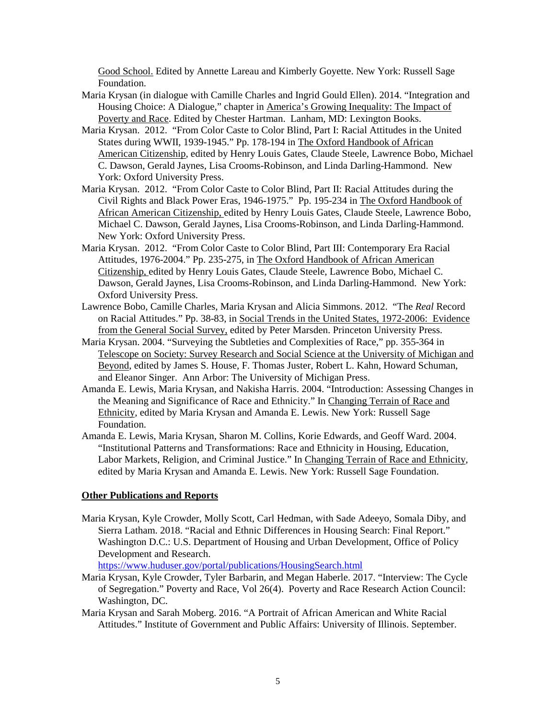Good School. Edited by Annette Lareau and Kimberly Goyette. New York: Russell Sage Foundation.

- Maria Krysan (in dialogue with Camille Charles and Ingrid Gould Ellen). 2014. "Integration and Housing Choice: A Dialogue," chapter in America's Growing Inequality: The Impact of Poverty and Race. Edited by Chester Hartman. Lanham, MD: Lexington Books.
- Maria Krysan. 2012. "From Color Caste to Color Blind, Part I: Racial Attitudes in the United States during WWII, 1939-1945." Pp. 178-194 in The Oxford Handbook of African American Citizenship, edited by Henry Louis Gates, Claude Steele, Lawrence Bobo, Michael C. Dawson, Gerald Jaynes, Lisa Crooms-Robinson, and Linda Darling-Hammond. New York: Oxford University Press.
- Maria Krysan. 2012. "From Color Caste to Color Blind, Part II: Racial Attitudes during the Civil Rights and Black Power Eras, 1946-1975." Pp. 195-234 in The Oxford Handbook of African American Citizenship, edited by Henry Louis Gates, Claude Steele, Lawrence Bobo, Michael C. Dawson, Gerald Jaynes, Lisa Crooms-Robinson, and Linda Darling-Hammond. New York: Oxford University Press.
- Maria Krysan. 2012. "From Color Caste to Color Blind, Part III: Contemporary Era Racial Attitudes, 1976-2004." Pp. 235-275, in The Oxford Handbook of African American Citizenship, edited by Henry Louis Gates, Claude Steele, Lawrence Bobo, Michael C. Dawson, Gerald Jaynes, Lisa Crooms-Robinson, and Linda Darling-Hammond. New York: Oxford University Press.
- Lawrence Bobo, Camille Charles, Maria Krysan and Alicia Simmons. 2012. "The *Real* Record on Racial Attitudes." Pp. 38-83, in Social Trends in the United States, 1972-2006: Evidence from the General Social Survey, edited by Peter Marsden. Princeton University Press.
- Maria Krysan. 2004. "Surveying the Subtleties and Complexities of Race," pp. 355-364 in Telescope on Society: Survey Research and Social Science at the University of Michigan and Beyond, edited by James S. House, F. Thomas Juster, Robert L. Kahn, Howard Schuman, and Eleanor Singer. Ann Arbor: The University of Michigan Press.
- Amanda E. Lewis, Maria Krysan, and Nakisha Harris. 2004. "Introduction: Assessing Changes in the Meaning and Significance of Race and Ethnicity." In Changing Terrain of Race and Ethnicity, edited by Maria Krysan and Amanda E. Lewis. New York: Russell Sage Foundation.
- Amanda E. Lewis, Maria Krysan, Sharon M. Collins, Korie Edwards, and Geoff Ward. 2004. "Institutional Patterns and Transformations: Race and Ethnicity in Housing, Education, Labor Markets, Religion, and Criminal Justice." In Changing Terrain of Race and Ethnicity, edited by Maria Krysan and Amanda E. Lewis. New York: Russell Sage Foundation.

#### **Other Publications and Reports**

Maria Krysan, Kyle Crowder, Molly Scott, Carl Hedman, with Sade Adeeyo, Somala Diby, and Sierra Latham. 2018. "Racial and Ethnic Differences in Housing Search: Final Report." Washington D.C.: U.S. Department of Housing and Urban Development, Office of Policy Development and Research.

<https://www.huduser.gov/portal/publications/HousingSearch.html>

- Maria Krysan, Kyle Crowder, Tyler Barbarin, and Megan Haberle. 2017. "Interview: The Cycle of Segregation." Poverty and Race, Vol 26(4). Poverty and Race Research Action Council: Washington, DC.
- Maria Krysan and Sarah Moberg. 2016. "A Portrait of African American and White Racial Attitudes." Institute of Government and Public Affairs: University of Illinois. September.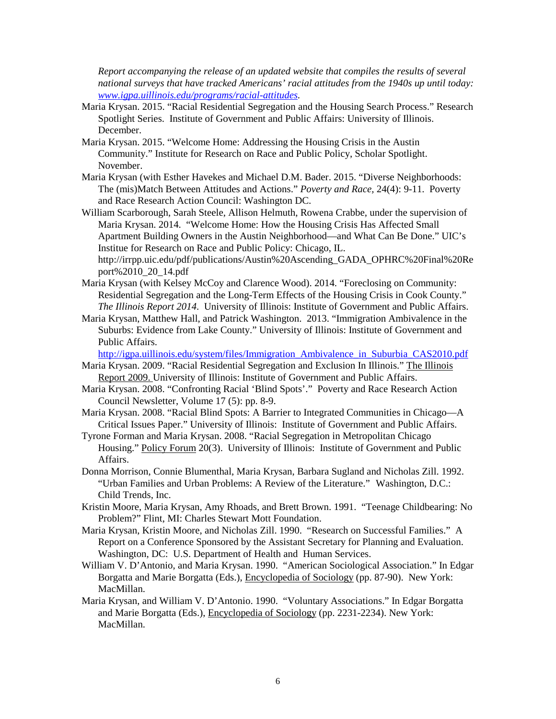*Report accompanying the release of an updated website that compiles the results of several national surveys that have tracked Americans' racial attitudes from the 1940s up until today: [www.igpa.uillinois.edu/programs/racial-attitudes.](http://www.igpa.uillinois.edu/programs/racial-attitudes)* 

- Maria Krysan. 2015. "Racial Residential Segregation and the Housing Search Process." Research Spotlight Series. Institute of Government and Public Affairs: University of Illinois. December.
- Maria Krysan. 2015. "Welcome Home: Addressing the Housing Crisis in the Austin Community." Institute for Research on Race and Public Policy, Scholar Spotlight. November.
- Maria Krysan (with Esther Havekes and Michael D.M. Bader. 2015. "Diverse Neighborhoods: The (mis)Match Between Attitudes and Actions." *Poverty and Race,* 24(4): 9-11. Poverty and Race Research Action Council: Washington DC.

William Scarborough, Sarah Steele, Allison Helmuth, Rowena Crabbe, under the supervision of Maria Krysan. 2014. "Welcome Home: How the Housing Crisis Has Affected Small Apartment Building Owners in the Austin Neighborhood—and What Can Be Done." UIC's Institue for Research on Race and Public Policy: Chicago, IL.

http://irrpp.uic.edu/pdf/publications/Austin%20Ascending\_GADA\_OPHRC%20Final%20Re port%2010\_20\_14.pdf

- Maria Krysan (with Kelsey McCoy and Clarence Wood). 2014. "Foreclosing on Community: Residential Segregation and the Long-Term Effects of the Housing Crisis in Cook County." *The Illinois Report 2014*. University of Illinois: Institute of Government and Public Affairs.
- Maria Krysan, Matthew Hall, and Patrick Washington. 2013. "Immigration Ambivalence in the Suburbs: Evidence from Lake County." University of Illinois: Institute of Government and Public Affairs.

[http://igpa.uillinois.edu/system/files/Immigration\\_Ambivalence\\_in\\_Suburbia\\_CAS2010.pdf](http://igpa.uillinois.edu/system/files/Immigration_Ambivalence_in_Suburbia_CAS2010.pdf)

- Maria Krysan. 2009. "Racial Residential Segregation and Exclusion In Illinois." The Illinois Report 2009. University of Illinois: Institute of Government and Public Affairs.
- Maria Krysan. 2008. "Confronting Racial 'Blind Spots'." Poverty and Race Research Action Council Newsletter, Volume 17 (5): pp. 8-9.
- Maria Krysan. 2008. "Racial Blind Spots: A Barrier to Integrated Communities in Chicago—A Critical Issues Paper." University of Illinois: Institute of Government and Public Affairs.
- Tyrone Forman and Maria Krysan. 2008. "Racial Segregation in Metropolitan Chicago Housing." Policy Forum 20(3). University of Illinois: Institute of Government and Public Affairs.
- Donna Morrison, Connie Blumenthal, Maria Krysan, Barbara Sugland and Nicholas Zill. 1992. "Urban Families and Urban Problems: A Review of the Literature." Washington, D.C.: Child Trends, Inc.
- Kristin Moore, Maria Krysan, Amy Rhoads, and Brett Brown. 1991. "Teenage Childbearing: No Problem?" Flint, MI: Charles Stewart Mott Foundation.
- Maria Krysan, Kristin Moore, and Nicholas Zill. 1990. "Research on Successful Families." A Report on a Conference Sponsored by the Assistant Secretary for Planning and Evaluation. Washington, DC: U.S. Department of Health and Human Services.
- William V. D'Antonio, and Maria Krysan. 1990. "American Sociological Association." In Edgar Borgatta and Marie Borgatta (Eds.), Encyclopedia of Sociology (pp. 87-90). New York: MacMillan.
- Maria Krysan, and William V. D'Antonio. 1990. "Voluntary Associations." In Edgar Borgatta and Marie Borgatta (Eds.), Encyclopedia of Sociology (pp. 2231-2234). New York: MacMillan.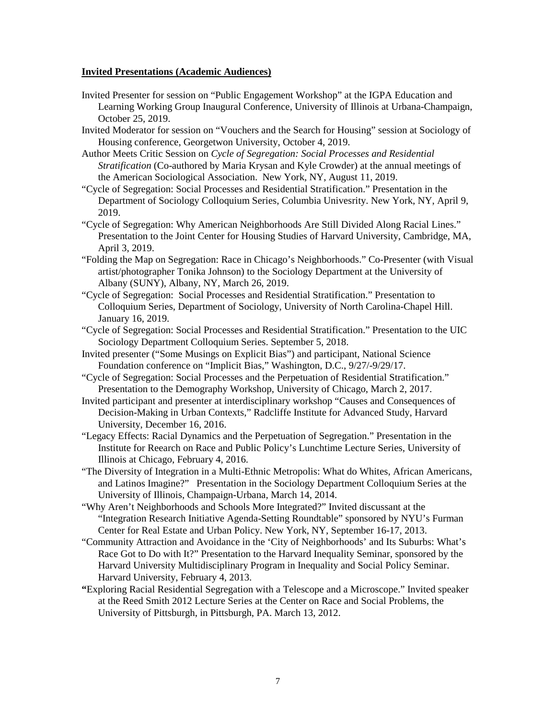#### **Invited Presentations (Academic Audiences)**

- Invited Presenter for session on "Public Engagement Workshop" at the IGPA Education and Learning Working Group Inaugural Conference, University of Illinois at Urbana-Champaign, October 25, 2019.
- Invited Moderator for session on "Vouchers and the Search for Housing" session at Sociology of Housing conference, Georgetwon University, October 4, 2019.
- Author Meets Critic Session on *Cycle of Segregation: Social Processes and Residential Stratification* (Co-authored by Maria Krysan and Kyle Crowder) at the annual meetings of the American Sociological Association. New York, NY, August 11, 2019.
- "Cycle of Segregation: Social Processes and Residential Stratification." Presentation in the Department of Sociology Colloquium Series, Columbia Univesrity. New York, NY, April 9, 2019.
- "Cycle of Segregation: Why American Neighborhoods Are Still Divided Along Racial Lines." Presentation to the Joint Center for Housing Studies of Harvard University, Cambridge, MA, April 3, 2019.
- "Folding the Map on Segregation: Race in Chicago's Neighborhoods." Co-Presenter (with Visual artist/photographer Tonika Johnson) to the Sociology Department at the University of Albany (SUNY), Albany, NY, March 26, 2019.
- "Cycle of Segregation: Social Processes and Residential Stratification." Presentation to Colloquium Series, Department of Sociology, University of North Carolina-Chapel Hill. January 16, 2019.
- "Cycle of Segregation: Social Processes and Residential Stratification." Presentation to the UIC Sociology Department Colloquium Series. September 5, 2018.
- Invited presenter ("Some Musings on Explicit Bias") and participant, National Science Foundation conference on "Implicit Bias," Washington, D.C., 9/27/-9/29/17.
- "Cycle of Segregation: Social Processes and the Perpetuation of Residential Stratification." Presentation to the Demography Workshop, University of Chicago, March 2, 2017.
- Invited participant and presenter at interdisciplinary workshop "Causes and Consequences of Decision-Making in Urban Contexts," Radcliffe Institute for Advanced Study, Harvard University, December 16, 2016.
- "Legacy Effects: Racial Dynamics and the Perpetuation of Segregation." Presentation in the Institute for Reearch on Race and Public Policy's Lunchtime Lecture Series, University of Illinois at Chicago, February 4, 2016.
- "The Diversity of Integration in a Multi-Ethnic Metropolis: What do Whites, African Americans, and Latinos Imagine?" Presentation in the Sociology Department Colloquium Series at the University of Illinois, Champaign-Urbana, March 14, 2014.
- "Why Aren't Neighborhoods and Schools More Integrated?" Invited discussant at the "Integration Research Initiative Agenda-Setting Roundtable" sponsored by NYU's Furman Center for Real Estate and Urban Policy. New York, NY, September 16-17, 2013.
- "Community Attraction and Avoidance in the 'City of Neighborhoods' and Its Suburbs: What's Race Got to Do with It?" Presentation to the Harvard Inequality Seminar, sponsored by the Harvard University Multidisciplinary Program in Inequality and Social Policy Seminar. Harvard University, February 4, 2013.
- **"**Exploring Racial Residential Segregation with a Telescope and a Microscope." Invited speaker at the Reed Smith 2012 Lecture Series at the Center on Race and Social Problems, the University of Pittsburgh, in Pittsburgh, PA. March 13, 2012.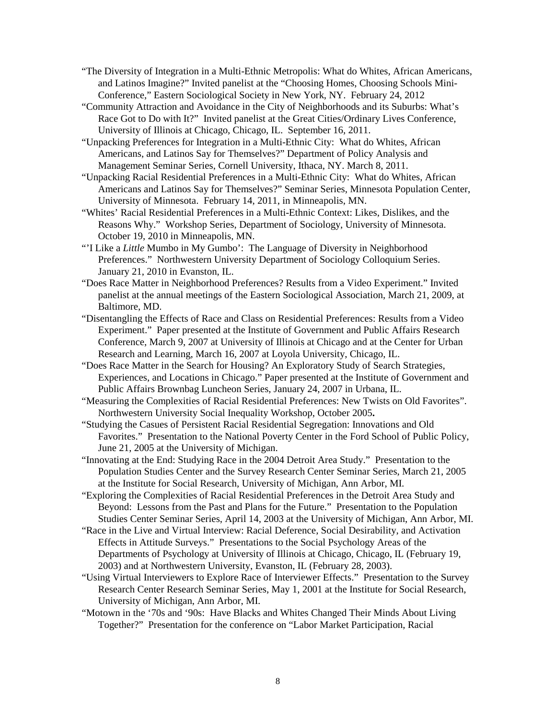- "The Diversity of Integration in a Multi-Ethnic Metropolis: What do Whites, African Americans, and Latinos Imagine?" Invited panelist at the "Choosing Homes, Choosing Schools Mini-Conference," Eastern Sociological Society in New York, NY. February 24, 2012
- "Community Attraction and Avoidance in the City of Neighborhoods and its Suburbs: What's Race Got to Do with It?" Invited panelist at the Great Cities/Ordinary Lives Conference, University of Illinois at Chicago, Chicago, IL. September 16, 2011.
- "Unpacking Preferences for Integration in a Multi-Ethnic City: What do Whites, African Americans, and Latinos Say for Themselves?" Department of Policy Analysis and Management Seminar Series, Cornell University, Ithaca, NY. March 8, 2011.
- "Unpacking Racial Residential Preferences in a Multi-Ethnic City: What do Whites, African Americans and Latinos Say for Themselves?" Seminar Series, Minnesota Population Center, University of Minnesota. February 14, 2011, in Minneapolis, MN.
- "Whites' Racial Residential Preferences in a Multi-Ethnic Context: Likes, Dislikes, and the Reasons Why." Workshop Series, Department of Sociology, University of Minnesota. October 19, 2010 in Minneapolis, MN.
- "'I Like a *Little* Mumbo in My Gumbo': The Language of Diversity in Neighborhood Preferences." Northwestern University Department of Sociology Colloquium Series. January 21, 2010 in Evanston, IL.
- "Does Race Matter in Neighborhood Preferences? Results from a Video Experiment." Invited panelist at the annual meetings of the Eastern Sociological Association, March 21, 2009, at Baltimore, MD.
- "Disentangling the Effects of Race and Class on Residential Preferences: Results from a Video Experiment." Paper presented at the Institute of Government and Public Affairs Research Conference, March 9, 2007 at University of Illinois at Chicago and at the Center for Urban Research and Learning, March 16, 2007 at Loyola University, Chicago, IL.
- "Does Race Matter in the Search for Housing? An Exploratory Study of Search Strategies, Experiences, and Locations in Chicago." Paper presented at the Institute of Government and Public Affairs Brownbag Luncheon Series, January 24, 2007 in Urbana, IL.
- "Measuring the Complexities of Racial Residential Preferences: New Twists on Old Favorites". Northwestern University Social Inequality Workshop, October 2005**.**
- "Studying the Casues of Persistent Racial Residential Segregation: Innovations and Old Favorites." Presentation to the National Poverty Center in the Ford School of Public Policy, June 21, 2005 at the University of Michigan.
- "Innovating at the End: Studying Race in the 2004 Detroit Area Study." Presentation to the Population Studies Center and the Survey Research Center Seminar Series, March 21, 2005 at the Institute for Social Research, University of Michigan, Ann Arbor, MI.
- "Exploring the Complexities of Racial Residential Preferences in the Detroit Area Study and Beyond: Lessons from the Past and Plans for the Future." Presentation to the Population Studies Center Seminar Series, April 14, 2003 at the University of Michigan, Ann Arbor, MI.
- "Race in the Live and Virtual Interview: Racial Deference, Social Desirability, and Activation Effects in Attitude Surveys." Presentations to the Social Psychology Areas of the Departments of Psychology at University of Illinois at Chicago, Chicago, IL (February 19, 2003) and at Northwestern University, Evanston, IL (February 28, 2003).
- "Using Virtual Interviewers to Explore Race of Interviewer Effects." Presentation to the Survey Research Center Research Seminar Series, May 1, 2001 at the Institute for Social Research, University of Michigan, Ann Arbor, MI.
- "Motown in the '70s and '90s: Have Blacks and Whites Changed Their Minds About Living Together?" Presentation for the conference on "Labor Market Participation, Racial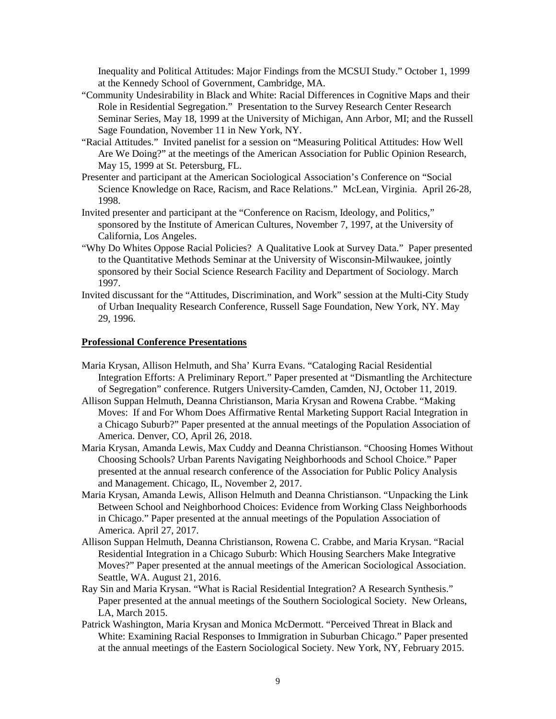Inequality and Political Attitudes: Major Findings from the MCSUI Study." October 1, 1999 at the Kennedy School of Government, Cambridge, MA.

- "Community Undesirability in Black and White: Racial Differences in Cognitive Maps and their Role in Residential Segregation." Presentation to the Survey Research Center Research Seminar Series, May 18, 1999 at the University of Michigan, Ann Arbor, MI; and the Russell Sage Foundation, November 11 in New York, NY.
- "Racial Attitudes." Invited panelist for a session on "Measuring Political Attitudes: How Well Are We Doing?" at the meetings of the American Association for Public Opinion Research, May 15, 1999 at St. Petersburg, FL.
- Presenter and participant at the American Sociological Association's Conference on "Social Science Knowledge on Race, Racism, and Race Relations." McLean, Virginia. April 26-28, 1998.
- Invited presenter and participant at the "Conference on Racism, Ideology, and Politics," sponsored by the Institute of American Cultures, November 7, 1997, at the University of California, Los Angeles.
- "Why Do Whites Oppose Racial Policies? A Qualitative Look at Survey Data." Paper presented to the Quantitative Methods Seminar at the University of Wisconsin-Milwaukee, jointly sponsored by their Social Science Research Facility and Department of Sociology. March 1997.
- Invited discussant for the "Attitudes, Discrimination, and Work" session at the Multi-City Study of Urban Inequality Research Conference, Russell Sage Foundation, New York, NY. May 29, 1996.

#### **Professional Conference Presentations**

- Maria Krysan, Allison Helmuth, and Sha' Kurra Evans. "Cataloging Racial Residential Integration Efforts: A Preliminary Report." Paper presented at "Dismantling the Architecture of Segregation" conference. Rutgers University-Camden, Camden, NJ, October 11, 2019.
- Allison Suppan Helmuth, Deanna Christianson, Maria Krysan and Rowena Crabbe. "Making Moves: If and For Whom Does Affirmative Rental Marketing Support Racial Integration in a Chicago Suburb?" Paper presented at the annual meetings of the Population Association of America. Denver, CO, April 26, 2018.
- Maria Krysan, Amanda Lewis, Max Cuddy and Deanna Christianson. "Choosing Homes Without Choosing Schools? Urban Parents Navigating Neighborhoods and School Choice." Paper presented at the annual research conference of the Association for Public Policy Analysis and Management. Chicago, IL, November 2, 2017.
- Maria Krysan, Amanda Lewis, Allison Helmuth and Deanna Christianson. "Unpacking the Link Between School and Neighborhood Choices: Evidence from Working Class Neighborhoods in Chicago." Paper presented at the annual meetings of the Population Association of America. April 27, 2017.
- Allison Suppan Helmuth, Deanna Christianson, Rowena C. Crabbe, and Maria Krysan. "Racial Residential Integration in a Chicago Suburb: Which Housing Searchers Make Integrative Moves?" Paper presented at the annual meetings of the American Sociological Association. Seattle, WA. August 21, 2016.
- Ray Sin and Maria Krysan. "What is Racial Residential Integration? A Research Synthesis." Paper presented at the annual meetings of the Southern Sociological Society. New Orleans, LA, March 2015.
- Patrick Washington, Maria Krysan and Monica McDermott. "Perceived Threat in Black and White: Examining Racial Responses to Immigration in Suburban Chicago." Paper presented at the annual meetings of the Eastern Sociological Society. New York, NY, February 2015.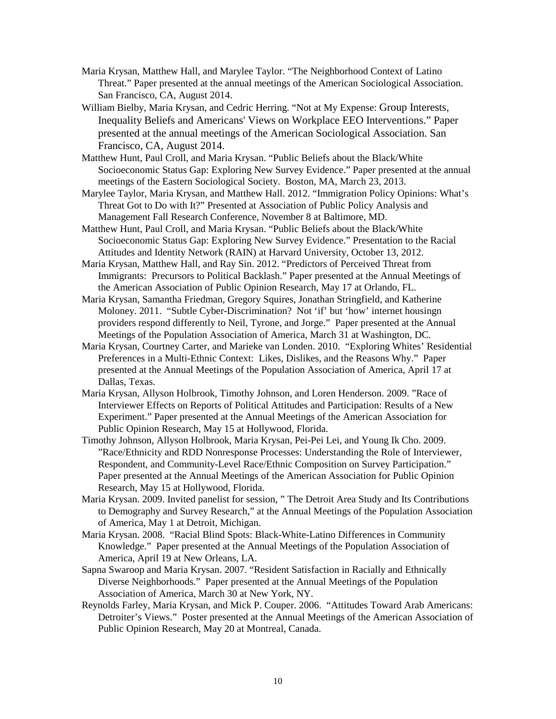- Maria Krysan, Matthew Hall, and Marylee Taylor. "The Neighborhood Context of Latino Threat." Paper presented at the annual meetings of the American Sociological Association. San Francisco, CA, August 2014.
- William Bielby, Maria Krysan, and Cedric Herring. "Not at My Expense: Group Interests, Inequality Beliefs and Americans' Views on Workplace EEO Interventions." Paper presented at the annual meetings of the American Sociological Association. San Francisco, CA, August 2014.
- Matthew Hunt, Paul Croll, and Maria Krysan. "Public Beliefs about the Black/White Socioeconomic Status Gap: Exploring New Survey Evidence." Paper presented at the annual meetings of the Eastern Sociological Society. Boston, MA, March 23, 2013.
- Marylee Taylor, Maria Krysan, and Matthew Hall. 2012. "Immigration Policy Opinions: What's Threat Got to Do with It?" Presented at Association of Public Policy Analysis and Management Fall Research Conference, November 8 at Baltimore, MD.
- Matthew Hunt, Paul Croll, and Maria Krysan. "Public Beliefs about the Black/White Socioeconomic Status Gap: Exploring New Survey Evidence." Presentation to the Racial Attitudes and Identity Network (RAIN) at Harvard University, October 13, 2012.
- Maria Krysan, Matthew Hall, and Ray Sin. 2012. "Predictors of Perceived Threat from Immigrants: Precursors to Political Backlash." Paper presented at the Annual Meetings of the American Association of Public Opinion Research, May 17 at Orlando, FL.
- Maria Krysan, Samantha Friedman, Gregory Squires, Jonathan Stringfield, and Katherine Moloney. 2011. "Subtle Cyber-Discrimination? Not 'if' but 'how' internet housingn providers respond differently to Neil, Tyrone, and Jorge." Paper presented at the Annual Meetings of the Population Association of America, March 31 at Washington, DC.
- Maria Krysan, Courtney Carter, and Marieke van Londen. 2010. "Exploring Whites' Residential Preferences in a Multi-Ethnic Context: Likes, Dislikes, and the Reasons Why." Paper presented at the Annual Meetings of the Population Association of America, April 17 at Dallas, Texas.
- Maria Krysan, Allyson Holbrook, Timothy Johnson, and Loren Henderson. 2009. "Race of Interviewer Effects on Reports of Political Attitudes and Participation: Results of a New Experiment." Paper presented at the Annual Meetings of the American Association for Public Opinion Research, May 15 at Hollywood, Florida.
- Timothy Johnson, Allyson Holbrook, Maria Krysan, Pei-Pei Lei, and Young Ik Cho. 2009. "Race/Ethnicity and RDD Nonresponse Processes: Understanding the Role of Interviewer, Respondent, and Community-Level Race/Ethnic Composition on Survey Participation." Paper presented at the Annual Meetings of the American Association for Public Opinion Research, May 15 at Hollywood, Florida.
- Maria Krysan. 2009. Invited panelist for session, " The Detroit Area Study and Its Contributions to Demography and Survey Research," at the Annual Meetings of the Population Association of America, May 1 at Detroit, Michigan.
- Maria Krysan. 2008. "Racial Blind Spots: Black-White-Latino Differences in Community Knowledge." Paper presented at the Annual Meetings of the Population Association of America, April 19 at New Orleans, LA.
- Sapna Swaroop and Maria Krysan. 2007. "Resident Satisfaction in Racially and Ethnically Diverse Neighborhoods." Paper presented at the Annual Meetings of the Population Association of America, March 30 at New York, NY.
- Reynolds Farley, Maria Krysan, and Mick P. Couper. 2006. "Attitudes Toward Arab Americans: Detroiter's Views." Poster presented at the Annual Meetings of the American Association of Public Opinion Research, May 20 at Montreal, Canada.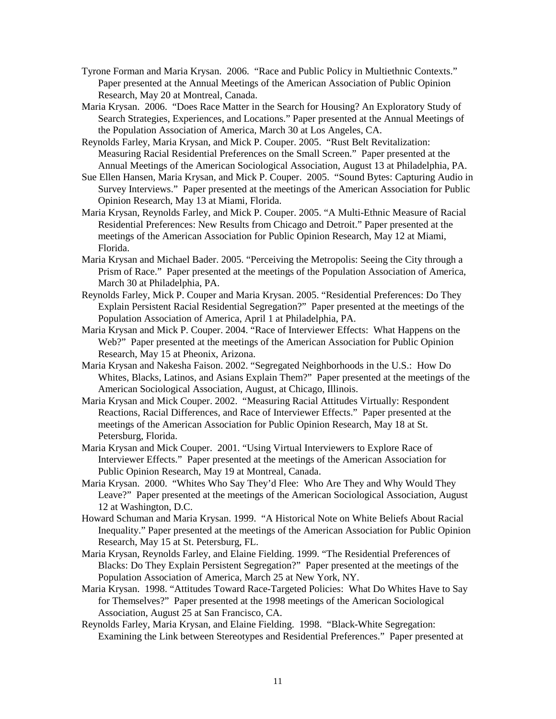- Tyrone Forman and Maria Krysan. 2006. "Race and Public Policy in Multiethnic Contexts." Paper presented at the Annual Meetings of the American Association of Public Opinion Research, May 20 at Montreal, Canada.
- Maria Krysan. 2006. "Does Race Matter in the Search for Housing? An Exploratory Study of Search Strategies, Experiences, and Locations." Paper presented at the Annual Meetings of the Population Association of America, March 30 at Los Angeles, CA.
- Reynolds Farley, Maria Krysan, and Mick P. Couper. 2005. "Rust Belt Revitalization: Measuring Racial Residential Preferences on the Small Screen." Paper presented at the Annual Meetings of the American Sociological Association, August 13 at Philadelphia, PA.
- Sue Ellen Hansen, Maria Krysan, and Mick P. Couper. 2005. "Sound Bytes: Capturing Audio in Survey Interviews." Paper presented at the meetings of the American Association for Public Opinion Research, May 13 at Miami, Florida.
- Maria Krysan, Reynolds Farley, and Mick P. Couper. 2005. "A Multi-Ethnic Measure of Racial Residential Preferences: New Results from Chicago and Detroit." Paper presented at the meetings of the American Association for Public Opinion Research, May 12 at Miami, Florida.
- Maria Krysan and Michael Bader. 2005. "Perceiving the Metropolis: Seeing the City through a Prism of Race." Paper presented at the meetings of the Population Association of America, March 30 at Philadelphia, PA.
- Reynolds Farley, Mick P. Couper and Maria Krysan. 2005. "Residential Preferences: Do They Explain Persistent Racial Residential Segregation?" Paper presented at the meetings of the Population Association of America, April 1 at Philadelphia, PA.
- Maria Krysan and Mick P. Couper. 2004. "Race of Interviewer Effects: What Happens on the Web?" Paper presented at the meetings of the American Association for Public Opinion Research, May 15 at Pheonix, Arizona.
- Maria Krysan and Nakesha Faison. 2002. "Segregated Neighborhoods in the U.S.: How Do Whites, Blacks, Latinos, and Asians Explain Them?" Paper presented at the meetings of the American Sociological Association, August, at Chicago, Illinois.
- Maria Krysan and Mick Couper. 2002. "Measuring Racial Attitudes Virtually: Respondent Reactions, Racial Differences, and Race of Interviewer Effects." Paper presented at the meetings of the American Association for Public Opinion Research, May 18 at St. Petersburg, Florida.
- Maria Krysan and Mick Couper. 2001. "Using Virtual Interviewers to Explore Race of Interviewer Effects." Paper presented at the meetings of the American Association for Public Opinion Research, May 19 at Montreal, Canada.
- Maria Krysan. 2000. "Whites Who Say They'd Flee: Who Are They and Why Would They Leave?" Paper presented at the meetings of the American Sociological Association, August 12 at Washington, D.C.
- Howard Schuman and Maria Krysan. 1999. "A Historical Note on White Beliefs About Racial Inequality." Paper presented at the meetings of the American Association for Public Opinion Research, May 15 at St. Petersburg, FL.
- Maria Krysan, Reynolds Farley, and Elaine Fielding. 1999. "The Residential Preferences of Blacks: Do They Explain Persistent Segregation?" Paper presented at the meetings of the Population Association of America, March 25 at New York, NY.
- Maria Krysan. 1998. "Attitudes Toward Race-Targeted Policies: What Do Whites Have to Say for Themselves?" Paper presented at the 1998 meetings of the American Sociological Association, August 25 at San Francisco, CA.
- Reynolds Farley, Maria Krysan, and Elaine Fielding. 1998. "Black-White Segregation: Examining the Link between Stereotypes and Residential Preferences." Paper presented at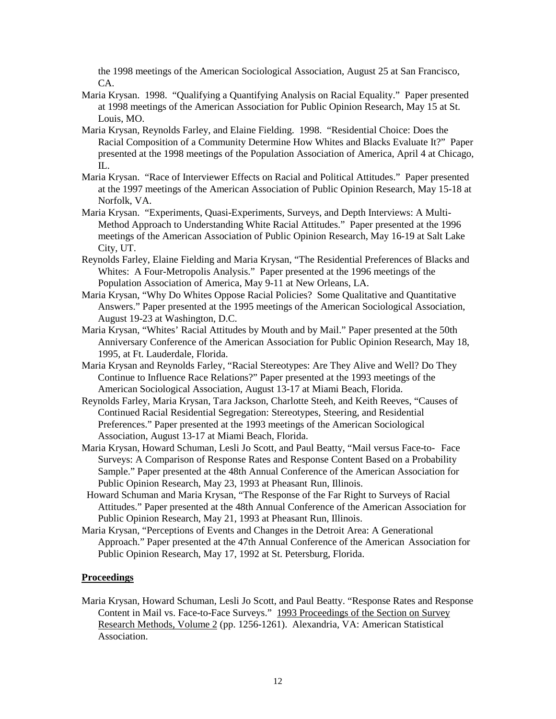the 1998 meetings of the American Sociological Association, August 25 at San Francisco, CA.

- Maria Krysan. 1998. "Qualifying a Quantifying Analysis on Racial Equality." Paper presented at 1998 meetings of the American Association for Public Opinion Research, May 15 at St. Louis, MO.
- Maria Krysan, Reynolds Farley, and Elaine Fielding. 1998. "Residential Choice: Does the Racial Composition of a Community Determine How Whites and Blacks Evaluate It?" Paper presented at the 1998 meetings of the Population Association of America, April 4 at Chicago, IL.
- Maria Krysan. "Race of Interviewer Effects on Racial and Political Attitudes." Paper presented at the 1997 meetings of the American Association of Public Opinion Research, May 15-18 at Norfolk, VA.
- Maria Krysan. "Experiments, Quasi-Experiments, Surveys, and Depth Interviews: A Multi-Method Approach to Understanding White Racial Attitudes." Paper presented at the 1996 meetings of the American Association of Public Opinion Research, May 16-19 at Salt Lake City, UT.
- Reynolds Farley, Elaine Fielding and Maria Krysan, "The Residential Preferences of Blacks and Whites: A Four-Metropolis Analysis." Paper presented at the 1996 meetings of the Population Association of America, May 9-11 at New Orleans, LA.
- Maria Krysan, "Why Do Whites Oppose Racial Policies? Some Qualitative and Quantitative Answers." Paper presented at the 1995 meetings of the American Sociological Association, August 19-23 at Washington, D.C.
- Maria Krysan, "Whites' Racial Attitudes by Mouth and by Mail." Paper presented at the 50th Anniversary Conference of the American Association for Public Opinion Research, May 18, 1995, at Ft. Lauderdale, Florida.
- Maria Krysan and Reynolds Farley, "Racial Stereotypes: Are They Alive and Well? Do They Continue to Influence Race Relations?" Paper presented at the 1993 meetings of the American Sociological Association, August 13-17 at Miami Beach, Florida.
- Reynolds Farley, Maria Krysan, Tara Jackson, Charlotte Steeh, and Keith Reeves, "Causes of Continued Racial Residential Segregation: Stereotypes, Steering, and Residential Preferences." Paper presented at the 1993 meetings of the American Sociological Association, August 13-17 at Miami Beach, Florida.
- Maria Krysan, Howard Schuman, Lesli Jo Scott, and Paul Beatty, "Mail versus Face-to- Face Surveys: A Comparison of Response Rates and Response Content Based on a Probability Sample." Paper presented at the 48th Annual Conference of the American Association for Public Opinion Research, May 23, 1993 at Pheasant Run, Illinois.
- Howard Schuman and Maria Krysan, "The Response of the Far Right to Surveys of Racial Attitudes." Paper presented at the 48th Annual Conference of the American Association for Public Opinion Research, May 21, 1993 at Pheasant Run, Illinois.
- Maria Krysan, "Perceptions of Events and Changes in the Detroit Area: A Generational Approach." Paper presented at the 47th Annual Conference of the American Association for Public Opinion Research, May 17, 1992 at St. Petersburg, Florida.

### **Proceedings**

Maria Krysan, Howard Schuman, Lesli Jo Scott, and Paul Beatty. "Response Rates and Response Content in Mail vs. Face-to-Face Surveys." 1993 Proceedings of the Section on Survey Research Methods, Volume 2 (pp. 1256-1261). Alexandria, VA: American Statistical Association.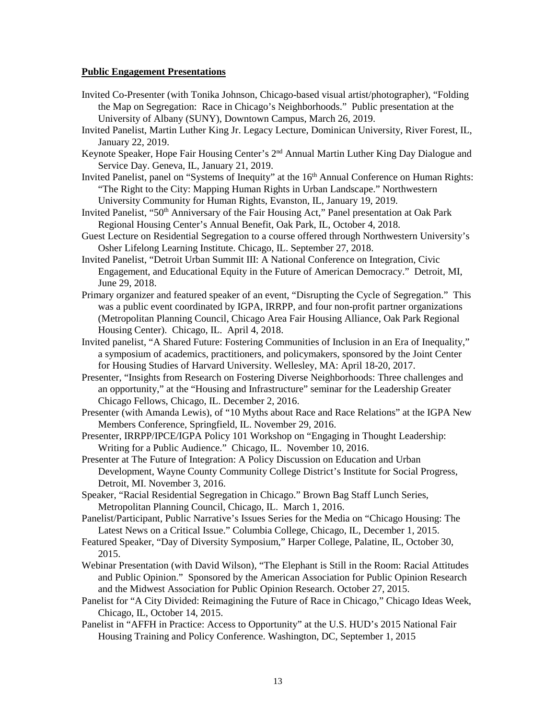#### **Public Engagement Presentations**

- Invited Co-Presenter (with Tonika Johnson, Chicago-based visual artist/photographer), "Folding the Map on Segregation: Race in Chicago's Neighborhoods." Public presentation at the University of Albany (SUNY), Downtown Campus, March 26, 2019.
- Invited Panelist, Martin Luther King Jr. Legacy Lecture, Dominican University, River Forest, IL, January 22, 2019.
- Keynote Speaker, Hope Fair Housing Center's 2<sup>nd</sup> Annual Martin Luther King Day Dialogue and Service Day. Geneva, IL, January 21, 2019.
- Invited Panelist, panel on "Systems of Inequity" at the 16<sup>th</sup> Annual Conference on Human Rights: "The Right to the City: Mapping Human Rights in Urban Landscape." Northwestern University Community for Human Rights, Evanston, IL, January 19, 2019.
- Invited Panelist, "50<sup>th</sup> Anniversary of the Fair Housing Act," Panel presentation at Oak Park Regional Housing Center's Annual Benefit, Oak Park, IL, October 4, 2018.
- Guest Lecture on Residential Segregation to a course offered through Northwestern University's Osher Lifelong Learning Institute. Chicago, IL. September 27, 2018.
- Invited Panelist, "Detroit Urban Summit III: A National Conference on Integration, Civic Engagement, and Educational Equity in the Future of American Democracy." Detroit, MI, June 29, 2018.
- Primary organizer and featured speaker of an event, "Disrupting the Cycle of Segregation." This was a public event coordinated by IGPA, IRRPP, and four non-profit partner organizations (Metropolitan Planning Council, Chicago Area Fair Housing Alliance, Oak Park Regional Housing Center). Chicago, IL. April 4, 2018.
- Invited panelist, "A Shared Future: Fostering Communities of Inclusion in an Era of Inequality," a symposium of academics, practitioners, and policymakers, sponsored by the Joint Center for Housing Studies of Harvard University. Wellesley, MA: April 18-20, 2017.
- Presenter, "Insights from Research on Fostering Diverse Neighborhoods: Three challenges and an opportunity," at the "Housing and Infrastructure" seminar for the Leadership Greater Chicago Fellows, Chicago, IL. December 2, 2016.
- Presenter (with Amanda Lewis), of "10 Myths about Race and Race Relations" at the IGPA New Members Conference, Springfield, IL. November 29, 2016.
- Presenter, IRRPP/IPCE/IGPA Policy 101 Workshop on "Engaging in Thought Leadership: Writing for a Public Audience." Chicago, IL. November 10, 2016.
- Presenter at The Future of Integration: A Policy Discussion on Education and Urban Development, Wayne County Community College District's Institute for Social Progress, Detroit, MI. November 3, 2016.
- Speaker, "Racial Residential Segregation in Chicago." Brown Bag Staff Lunch Series, Metropolitan Planning Council, Chicago, IL. March 1, 2016.
- Panelist/Participant, Public Narrative's Issues Series for the Media on "Chicago Housing: The Latest News on a Critical Issue." Columbia College, Chicago, IL, December 1, 2015.
- Featured Speaker, "Day of Diversity Symposium," Harper College, Palatine, IL, October 30, 2015.
- Webinar Presentation (with David Wilson), "The Elephant is Still in the Room: Racial Attitudes and Public Opinion." Sponsored by the American Association for Public Opinion Research and the Midwest Association for Public Opinion Research. October 27, 2015.
- Panelist for "A City Divided: Reimagining the Future of Race in Chicago," Chicago Ideas Week, Chicago, IL, October 14, 2015.
- Panelist in "AFFH in Practice: Access to Opportunity" at the U.S. HUD's 2015 National Fair Housing Training and Policy Conference. Washington, DC, September 1, 2015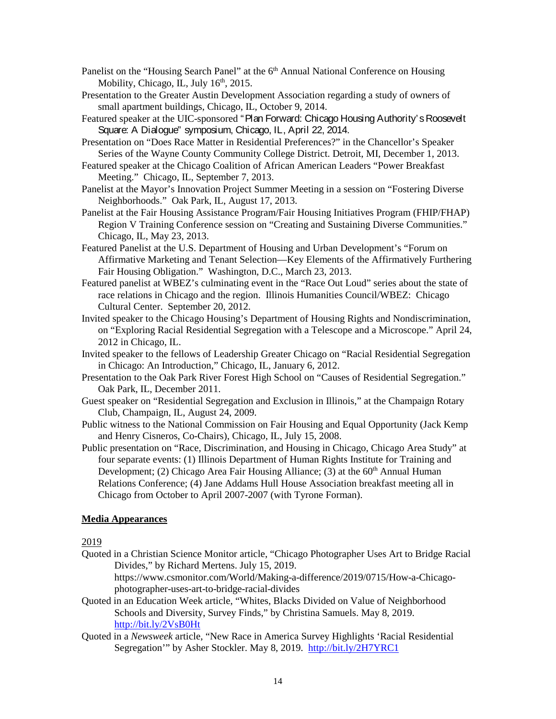- Panelist on the "Housing Search Panel" at the 6<sup>th</sup> Annual National Conference on Housing Mobility, Chicago, IL, July 16<sup>th</sup>, 2015.
- Presentation to the Greater Austin Development Association regarding a study of owners of small apartment buildings, Chicago, IL, October 9, 2014.
- Featured speaker at the UIC-sponsored "Plan Forward: Chicago Housing Authority's Roosevelt Square: A Dialogue" symposium, Chicago, IL, April 22, 2014.
- Presentation on "Does Race Matter in Residential Preferences?" in the Chancellor's Speaker Series of the Wayne County Community College District. Detroit, MI, December 1, 2013.
- Featured speaker at the Chicago Coalition of African American Leaders "Power Breakfast Meeting." Chicago, IL, September 7, 2013.
- Panelist at the Mayor's Innovation Project Summer Meeting in a session on "Fostering Diverse Neighborhoods." Oak Park, IL, August 17, 2013.
- Panelist at the Fair Housing Assistance Program/Fair Housing Initiatives Program (FHIP/FHAP) Region V Training Conference session on "Creating and Sustaining Diverse Communities." Chicago, IL, May 23, 2013.
- Featured Panelist at the U.S. Department of Housing and Urban Development's "Forum on Affirmative Marketing and Tenant Selection—Key Elements of the Affirmatively Furthering Fair Housing Obligation." Washington, D.C., March 23, 2013.
- Featured panelist at WBEZ's culminating event in the "Race Out Loud" series about the state of race relations in Chicago and the region. Illinois Humanities Council/WBEZ: Chicago Cultural Center. September 20, 2012.
- Invited speaker to the Chicago Housing's Department of Housing Rights and Nondiscrimination, on "Exploring Racial Residential Segregation with a Telescope and a Microscope." April 24, 2012 in Chicago, IL.
- Invited speaker to the fellows of Leadership Greater Chicago on "Racial Residential Segregation in Chicago: An Introduction," Chicago, IL, January 6, 2012.
- Presentation to the Oak Park River Forest High School on "Causes of Residential Segregation." Oak Park, IL, December 2011.
- Guest speaker on "Residential Segregation and Exclusion in Illinois," at the Champaign Rotary Club, Champaign, IL, August 24, 2009.
- Public witness to the National Commission on Fair Housing and Equal Opportunity (Jack Kemp and Henry Cisneros, Co-Chairs), Chicago, IL, July 15, 2008.
- Public presentation on "Race, Discrimination, and Housing in Chicago, Chicago Area Study" at four separate events: (1) Illinois Department of Human Rights Institute for Training and Development; (2) Chicago Area Fair Housing Alliance; (3) at the  $60<sup>th</sup>$  Annual Human Relations Conference; (4) Jane Addams Hull House Association breakfast meeting all in Chicago from October to April 2007-2007 (with Tyrone Forman).

### **Media Appearances**

2019

Quoted in a Christian Science Monitor article, "Chicago Photographer Uses Art to Bridge Racial Divides," by Richard Mertens. July 15, 2019.

https://www.csmonitor.com/World/Making-a-difference/2019/0715/How-a-Chicagophotographer-uses-art-to-bridge-racial-divides

- Quoted in an Education Week article, "Whites, Blacks Divided on Value of Neighborhood Schools and Diversity, Survey Finds," by Christina Samuels. May 8, 2019. <http://bit.ly/2VsB0Ht>
- Quoted in a *Newsweek* article, "New Race in America Survey Highlights 'Racial Residential Segregation'" by Asher Stockler. May 8, 2019. <http://bit.ly/2H7YRC1>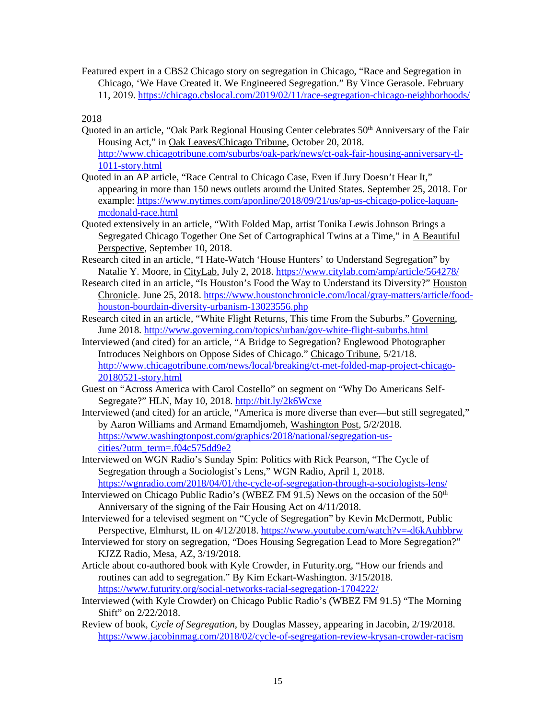Featured expert in a CBS2 Chicago story on segregation in Chicago, "Race and Segregation in Chicago, 'We Have Created it. We Engineered Segregation." By Vince Gerasole. February 11, 2019.<https://chicago.cbslocal.com/2019/02/11/race-segregation-chicago-neighborhoods/>

2018

- Quoted in an article, "Oak Park Regional Housing Center celebrates 50<sup>th</sup> Anniversary of the Fair Housing Act," in Oak Leaves/Chicago Tribune, October 20, 2018. [http://www.chicagotribune.com/suburbs/oak-park/news/ct-oak-fair-housing-anniversary-tl-](http://www.chicagotribune.com/suburbs/oak-park/news/ct-oak-fair-housing-anniversary-tl-1011-story.html)[1011-story.html](http://www.chicagotribune.com/suburbs/oak-park/news/ct-oak-fair-housing-anniversary-tl-1011-story.html)
- Quoted in an AP article, "Race Central to Chicago Case, Even if Jury Doesn't Hear It," appearing in more than 150 news outlets around the United States. September 25, 2018. For example: [https://www.nytimes.com/aponline/2018/09/21/us/ap-us-chicago-police-laquan](https://www.nytimes.com/aponline/2018/09/21/us/ap-us-chicago-police-laquan-mcdonald-race.html)[mcdonald-race.html](https://www.nytimes.com/aponline/2018/09/21/us/ap-us-chicago-police-laquan-mcdonald-race.html)
- Quoted extensively in an article, "With Folded Map, artist Tonika Lewis Johnson Brings a Segregated Chicago Together One Set of Cartographical Twins at a Time," in A Beautiful Perspective, September 10, 2018.
- Research cited in an article, "I Hate-Watch 'House Hunters' to Understand Segregation" by Natalie Y. Moore, in CityLab, July 2, 2018.<https://www.citylab.com/amp/article/564278/>
- Research cited in an article, "Is Houston's Food the Way to Understand its Diversity?" Houston Chronicle. June 25, 2018. [https://www.houstonchronicle.com/local/gray-matters/article/food](https://www.houstonchronicle.com/local/gray-matters/article/food-houston-bourdain-diversity-urbanism-13023556.php)[houston-bourdain-diversity-urbanism-13023556.php](https://www.houstonchronicle.com/local/gray-matters/article/food-houston-bourdain-diversity-urbanism-13023556.php)
- Research cited in an article, "White Flight Returns, This time From the Suburbs." Governing, June 2018.<http://www.governing.com/topics/urban/gov-white-flight-suburbs.html>
- Interviewed (and cited) for an article, "A Bridge to Segregation? Englewood Photographer Introduces Neighbors on Oppose Sides of Chicago." Chicago Tribune, 5/21/18. [http://www.chicagotribune.com/news/local/breaking/ct-met-folded-map-project-chicago-](http://www.chicagotribune.com/news/local/breaking/ct-met-folded-map-project-chicago-20180521-story.html)[20180521-story.html](http://www.chicagotribune.com/news/local/breaking/ct-met-folded-map-project-chicago-20180521-story.html)
- Guest on "Across America with Carol Costello" on segment on "Why Do Americans Self-Segregate?" HLN, May 10, 2018.<http://bit.ly/2k6Wcxe>
- Interviewed (and cited) for an article, "America is more diverse than ever—but still segregated," by Aaron Williams and Armand Emamdjomeh, Washington Post, 5/2/2018. [https://www.washingtonpost.com/graphics/2018/national/segregation-us](https://www.washingtonpost.com/graphics/2018/national/segregation-us-cities/?utm_term=.f04c575dd9e2)[cities/?utm\\_term=.f04c575dd9e2](https://www.washingtonpost.com/graphics/2018/national/segregation-us-cities/?utm_term=.f04c575dd9e2)
- Interviewed on WGN Radio's Sunday Spin: Politics with Rick Pearson, "The Cycle of Segregation through a Sociologist's Lens," WGN Radio, April 1, 2018. <https://wgnradio.com/2018/04/01/the-cycle-of-segregation-through-a-sociologists-lens/>
- Interviewed on Chicago Public Radio's (WBEZ FM 91.5) News on the occasion of the  $50<sup>th</sup>$ Anniversary of the signing of the Fair Housing Act on 4/11/2018.
- Interviewed for a televised segment on "Cycle of Segregation" by Kevin McDermott, Public Perspective, Elmhurst, IL on 4/12/2018.<https://www.youtube.com/watch?v=-d6kAuhbbrw>
- Interviewed for story on segregation, "Does Housing Segregation Lead to More Segregation?" KJZZ Radio, Mesa, AZ, 3/19/2018.
- Article about co-authored book with Kyle Crowder, in Futurity.org, "How our friends and routines can add to segregation." By Kim Eckart-Washington. 3/15/2018. <https://www.futurity.org/social-networks-racial-segregation-1704222/>
- Interviewed (with Kyle Crowder) on Chicago Public Radio's (WBEZ FM 91.5) "The Morning Shift" on 2/22/2018.
- Review of book, *Cycle of Segregation*, by Douglas Massey, appearing in Jacobin, 2/19/2018. <https://www.jacobinmag.com/2018/02/cycle-of-segregation-review-krysan-crowder-racism>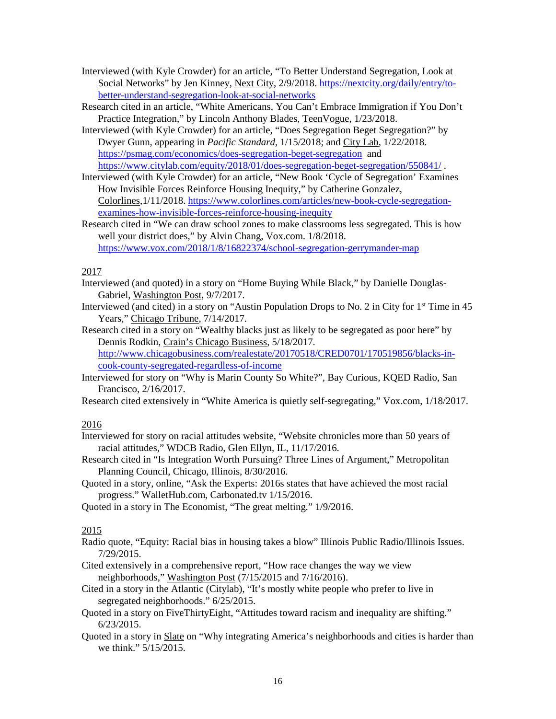- Interviewed (with Kyle Crowder) for an article, "To Better Understand Segregation, Look at Social Networks" by Jen Kinney, Next City, 2/9/2018. [https://nextcity.org/daily/entry/to](https://nextcity.org/daily/entry/to-better-understand-segregation-look-at-social-networks)[better-understand-segregation-look-at-social-networks](https://nextcity.org/daily/entry/to-better-understand-segregation-look-at-social-networks)
- Research cited in an article, "White Americans, You Can't Embrace Immigration if You Don't Practice Integration," by Lincoln Anthony Blades, TeenVogue, 1/23/2018.
- Interviewed (with Kyle Crowder) for an article, "Does Segregation Beget Segregation?" by Dwyer Gunn, appearing in *Pacific Standard*, 1/15/2018; and City Lab, 1/22/2018. <https://psmag.com/economics/does-segregation-beget-segregation>and <https://www.citylab.com/equity/2018/01/does-segregation-beget-segregation/550841/> .
- Interviewed (with Kyle Crowder) for an article, "New Book 'Cycle of Segregation' Examines How Invisible Forces Reinforce Housing Inequity," by Catherine Gonzalez, Colorlines,1/11/2018. [https://www.colorlines.com/articles/new-book-cycle-segregation](https://www.colorlines.com/articles/new-book-cycle-segregation-examines-how-invisible-forces-reinforce-housing-inequity)[examines-how-invisible-forces-reinforce-housing-inequity](https://www.colorlines.com/articles/new-book-cycle-segregation-examines-how-invisible-forces-reinforce-housing-inequity)
- Research cited in "We can draw school zones to make classrooms less segregated. This is how well your district does," by Alvin Chang, Vox.com. 1/8/2018. <https://www.vox.com/2018/1/8/16822374/school-segregation-gerrymander-map>

### 2017

- Interviewed (and quoted) in a story on "Home Buying While Black," by Danielle Douglas-Gabriel, Washington Post, 9/7/2017.
- Interviewed (and cited) in a story on "Austin Population Drops to No. 2 in City for  $1<sup>st</sup>$  Time in 45 Years," Chicago Tribune, 7/14/2017.
- Research cited in a story on "Wealthy blacks just as likely to be segregated as poor here" by Dennis Rodkin, Crain's Chicago Business, 5/18/2017. [http://www.chicagobusiness.com/realestate/20170518/CRED0701/170519856/blacks-in](http://www.chicagobusiness.com/realestate/20170518/CRED0701/170519856/blacks-in-cook-county-segregated-regardless-of-income)[cook-county-segregated-regardless-of-income](http://www.chicagobusiness.com/realestate/20170518/CRED0701/170519856/blacks-in-cook-county-segregated-regardless-of-income)
- Interviewed for story on "Why is Marin County So White?", Bay Curious, KQED Radio, San Francisco, 2/16/2017.
- Research cited extensively in "White America is quietly self-segregating," Vox.com, 1/18/2017.

### 2016

- Interviewed for story on racial attitudes website, "Website chronicles more than 50 years of racial attitudes," WDCB Radio, Glen Ellyn, IL, 11/17/2016.
- Research cited in "Is Integration Worth Pursuing? Three Lines of Argument," Metropolitan Planning Council, Chicago, Illinois, 8/30/2016.
- Quoted in a story, online, "Ask the Experts: 2016s states that have achieved the most racial progress." WalletHub.com, Carbonated.tv 1/15/2016.
- Quoted in a story in The Economist, "The great melting." 1/9/2016.

### 2015

- Radio quote, "Equity: Racial bias in housing takes a blow" Illinois Public Radio/Illinois Issues. 7/29/2015.
- Cited extensively in a comprehensive report, "How race changes the way we view neighborhoods," Washington Post (7/15/2015 and 7/16/2016).
- Cited in a story in the Atlantic (Citylab), "It's mostly white people who prefer to live in segregated neighborhoods." 6/25/2015.
- Quoted in a story on FiveThirtyEight, "Attitudes toward racism and inequality are shifting." 6/23/2015.
- Quoted in a story in Slate on "Why integrating America's neighborhoods and cities is harder than we think." 5/15/2015.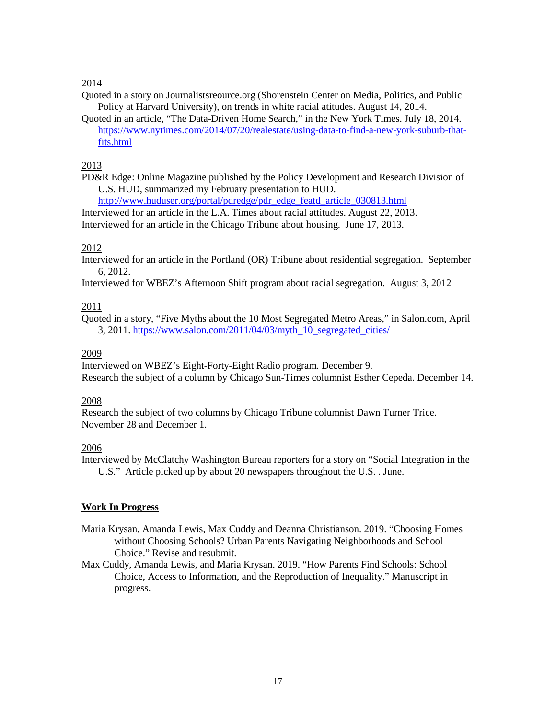### 2014

Quoted in a story on Journalistsreource.org (Shorenstein Center on Media, Politics, and Public Policy at Harvard University), on trends in white racial atitudes. August 14, 2014.

Quoted in an article, "The Data-Driven Home Search," in the New York Times. July 18, 2014. [https://www.nytimes.com/2014/07/20/realestate/using-data-to-find-a-new-york-suburb-that](https://www.nytimes.com/2014/07/20/realestate/using-data-to-find-a-new-york-suburb-that-fits.html)[fits.html](https://www.nytimes.com/2014/07/20/realestate/using-data-to-find-a-new-york-suburb-that-fits.html)

### 2013

PD&R Edge: Online Magazine published by the Policy Development and Research Division of U.S. HUD, summarized my February presentation to HUD.

[http://www.huduser.org/portal/pdredge/pdr\\_edge\\_featd\\_article\\_030813.html](http://www.huduser.org/portal/pdredge/pdr_edge_featd_article_030813.html)

Interviewed for an article in the L.A. Times about racial attitudes. August 22, 2013. Interviewed for an article in the Chicago Tribune about housing. June 17, 2013.

## 2012

Interviewed for an article in the Portland (OR) Tribune about residential segregation. September 6, 2012.

Interviewed for WBEZ's Afternoon Shift program about racial segregation. August 3, 2012

### 2011

Quoted in a story, "Five Myths about the 10 Most Segregated Metro Areas," in Salon.com, April 3, 2011. [https://www.salon.com/2011/04/03/myth\\_10\\_segregated\\_cities/](https://www.salon.com/2011/04/03/myth_10_segregated_cities/)

### 2009

Interviewed on WBEZ's Eight-Forty-Eight Radio program. December 9. Research the subject of a column by Chicago Sun-Times columnist Esther Cepeda. December 14.

### 2008

Research the subject of two columns by Chicago Tribune columnist Dawn Turner Trice. November 28 and December 1.

## 2006

Interviewed by McClatchy Washington Bureau reporters for a story on "Social Integration in the U.S." Article picked up by about 20 newspapers throughout the U.S. . June.

## **Work In Progress**

Maria Krysan, Amanda Lewis, Max Cuddy and Deanna Christianson. 2019. "Choosing Homes without Choosing Schools? Urban Parents Navigating Neighborhoods and School Choice." Revise and resubmit.

Max Cuddy, Amanda Lewis, and Maria Krysan. 2019. "How Parents Find Schools: School Choice, Access to Information, and the Reproduction of Inequality." Manuscript in progress.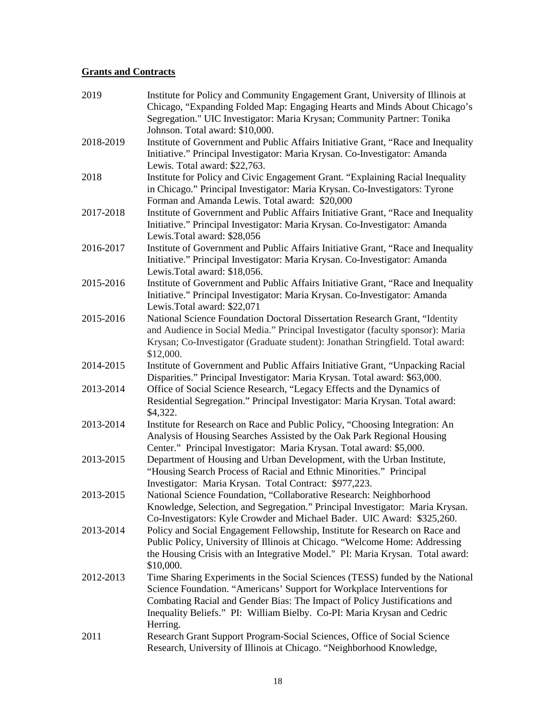# **Grants and Contracts**

| 2019      | Institute for Policy and Community Engagement Grant, University of Illinois at<br>Chicago, "Expanding Folded Map: Engaging Hearts and Minds About Chicago's<br>Segregation." UIC Investigator: Maria Krysan; Community Partner: Tonika                                                                                       |
|-----------|------------------------------------------------------------------------------------------------------------------------------------------------------------------------------------------------------------------------------------------------------------------------------------------------------------------------------|
|           | Johnson. Total award: \$10,000.                                                                                                                                                                                                                                                                                              |
| 2018-2019 | Institute of Government and Public Affairs Initiative Grant, "Race and Inequality<br>Initiative." Principal Investigator: Maria Krysan. Co-Investigator: Amanda<br>Lewis. Total award: \$22,763.                                                                                                                             |
| 2018      | Institute for Policy and Civic Engagement Grant. "Explaining Racial Inequality<br>in Chicago." Principal Investigator: Maria Krysan. Co-Investigators: Tyrone<br>Forman and Amanda Lewis. Total award: \$20,000                                                                                                              |
| 2017-2018 | Institute of Government and Public Affairs Initiative Grant, "Race and Inequality<br>Initiative." Principal Investigator: Maria Krysan. Co-Investigator: Amanda<br>Lewis.Total award: \$28,056                                                                                                                               |
| 2016-2017 | Institute of Government and Public Affairs Initiative Grant, "Race and Inequality<br>Initiative." Principal Investigator: Maria Krysan. Co-Investigator: Amanda<br>Lewis.Total award: \$18,056.                                                                                                                              |
| 2015-2016 | Institute of Government and Public Affairs Initiative Grant, "Race and Inequality<br>Initiative." Principal Investigator: Maria Krysan. Co-Investigator: Amanda<br>Lewis.Total award: \$22,071                                                                                                                               |
| 2015-2016 | National Science Foundation Doctoral Dissertation Research Grant, "Identity<br>and Audience in Social Media." Principal Investigator (faculty sponsor): Maria<br>Krysan; Co-Investigator (Graduate student): Jonathan Stringfield. Total award:<br>\$12,000.                                                                 |
| 2014-2015 | Institute of Government and Public Affairs Initiative Grant, "Unpacking Racial<br>Disparities." Principal Investigator: Maria Krysan. Total award: \$63,000.                                                                                                                                                                 |
| 2013-2014 | Office of Social Science Research, "Legacy Effects and the Dynamics of<br>Residential Segregation." Principal Investigator: Maria Krysan. Total award:<br>\$4,322.                                                                                                                                                           |
| 2013-2014 | Institute for Research on Race and Public Policy, "Choosing Integration: An<br>Analysis of Housing Searches Assisted by the Oak Park Regional Housing<br>Center." Principal Investigator: Maria Krysan. Total award: \$5,000.                                                                                                |
| 2013-2015 | Department of Housing and Urban Development, with the Urban Institute,<br>"Housing Search Process of Racial and Ethnic Minorities." Principal<br>Investigator: Maria Krysan. Total Contract: \$977,223.                                                                                                                      |
| 2013-2015 | National Science Foundation, "Collaborative Research: Neighborhood<br>Knowledge, Selection, and Segregation." Principal Investigator: Maria Krysan.<br>Co-Investigators: Kyle Crowder and Michael Bader. UIC Award: \$325,260.                                                                                               |
| 2013-2014 | Policy and Social Engagement Fellowship, Institute for Research on Race and<br>Public Policy, University of Illinois at Chicago. "Welcome Home: Addressing<br>the Housing Crisis with an Integrative Model." PI: Maria Krysan. Total award:<br>\$10,000.                                                                     |
| 2012-2013 | Time Sharing Experiments in the Social Sciences (TESS) funded by the National<br>Science Foundation. "Americans' Support for Workplace Interventions for<br>Combating Racial and Gender Bias: The Impact of Policy Justifications and<br>Inequality Beliefs." PI: William Bielby. Co-PI: Maria Krysan and Cedric<br>Herring. |
| 2011      | Research Grant Support Program-Social Sciences, Office of Social Science<br>Research, University of Illinois at Chicago. "Neighborhood Knowledge,                                                                                                                                                                            |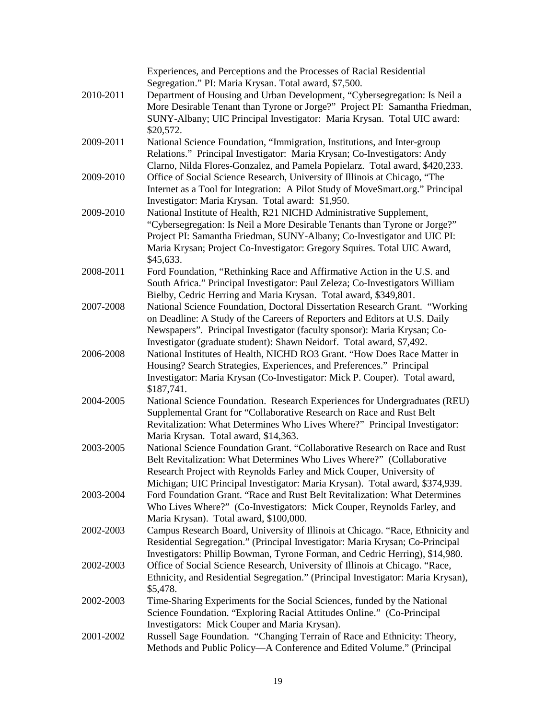|           | Experiences, and Perceptions and the Processes of Racial Residential             |
|-----------|----------------------------------------------------------------------------------|
|           | Segregation." PI: Maria Krysan. Total award, \$7,500.                            |
| 2010-2011 | Department of Housing and Urban Development, "Cybersegregation: Is Neil a        |
|           | More Desirable Tenant than Tyrone or Jorge?" Project PI: Samantha Friedman,      |
|           | SUNY-Albany; UIC Principal Investigator: Maria Krysan. Total UIC award:          |
|           | \$20,572.                                                                        |
| 2009-2011 | National Science Foundation, "Immigration, Institutions, and Inter-group         |
|           | Relations." Principal Investigator: Maria Krysan; Co-Investigators: Andy         |
|           | Clarno, Nilda Flores-Gonzalez, and Pamela Popielarz. Total award, \$420,233.     |
| 2009-2010 | Office of Social Science Research, University of Illinois at Chicago, "The       |
|           | Internet as a Tool for Integration: A Pilot Study of MoveSmart.org." Principal   |
|           | Investigator: Maria Krysan. Total award: \$1,950.                                |
| 2009-2010 | National Institute of Health, R21 NICHD Administrative Supplement,               |
|           | "Cybersegregation: Is Neil a More Desirable Tenants than Tyrone or Jorge?"       |
|           | Project PI: Samantha Friedman, SUNY-Albany; Co-Investigator and UIC PI:          |
|           | Maria Krysan; Project Co-Investigator: Gregory Squires. Total UIC Award,         |
|           | \$45,633.                                                                        |
| 2008-2011 | Ford Foundation, "Rethinking Race and Affirmative Action in the U.S. and         |
|           | South Africa." Principal Investigator: Paul Zeleza; Co-Investigators William     |
|           | Bielby, Cedric Herring and Maria Krysan. Total award, \$349,801.                 |
| 2007-2008 | National Science Foundation, Doctoral Dissertation Research Grant. "Working      |
|           | on Deadline: A Study of the Careers of Reporters and Editors at U.S. Daily       |
|           | Newspapers". Principal Investigator (faculty sponsor): Maria Krysan; Co-         |
|           | Investigator (graduate student): Shawn Neidorf. Total award, \$7,492.            |
| 2006-2008 | National Institutes of Health, NICHD RO3 Grant. "How Does Race Matter in         |
|           | Housing? Search Strategies, Experiences, and Preferences." Principal             |
|           | Investigator: Maria Krysan (Co-Investigator: Mick P. Couper). Total award,       |
|           | \$187,741.                                                                       |
| 2004-2005 | National Science Foundation. Research Experiences for Undergraduates (REU)       |
|           | Supplemental Grant for "Collaborative Research on Race and Rust Belt             |
|           | Revitalization: What Determines Who Lives Where?" Principal Investigator:        |
|           | Maria Krysan. Total award, \$14,363.                                             |
| 2003-2005 | National Science Foundation Grant. "Collaborative Research on Race and Rust      |
|           | Belt Revitalization: What Determines Who Lives Where?" (Collaborative            |
|           | Research Project with Reynolds Farley and Mick Couper, University of             |
|           | Michigan; UIC Principal Investigator: Maria Krysan). Total award, \$374,939.     |
| 2003-2004 | Ford Foundation Grant. "Race and Rust Belt Revitalization: What Determines       |
|           |                                                                                  |
|           | Who Lives Where?" (Co-Investigators: Mick Couper, Reynolds Farley, and           |
| 2002-2003 | Maria Krysan). Total award, \$100,000.                                           |
|           | Campus Research Board, University of Illinois at Chicago. "Race, Ethnicity and   |
|           | Residential Segregation." (Principal Investigator: Maria Krysan; Co-Principal    |
|           | Investigators: Phillip Bowman, Tyrone Forman, and Cedric Herring), \$14,980.     |
| 2002-2003 | Office of Social Science Research, University of Illinois at Chicago. "Race,     |
|           | Ethnicity, and Residential Segregation." (Principal Investigator: Maria Krysan), |
|           | \$5,478.                                                                         |
| 2002-2003 | Time-Sharing Experiments for the Social Sciences, funded by the National         |
|           | Science Foundation. "Exploring Racial Attitudes Online." (Co-Principal           |
|           | Investigators: Mick Couper and Maria Krysan).                                    |
| 2001-2002 | Russell Sage Foundation. "Changing Terrain of Race and Ethnicity: Theory,        |
|           | Methods and Public Policy-A Conference and Edited Volume." (Principal            |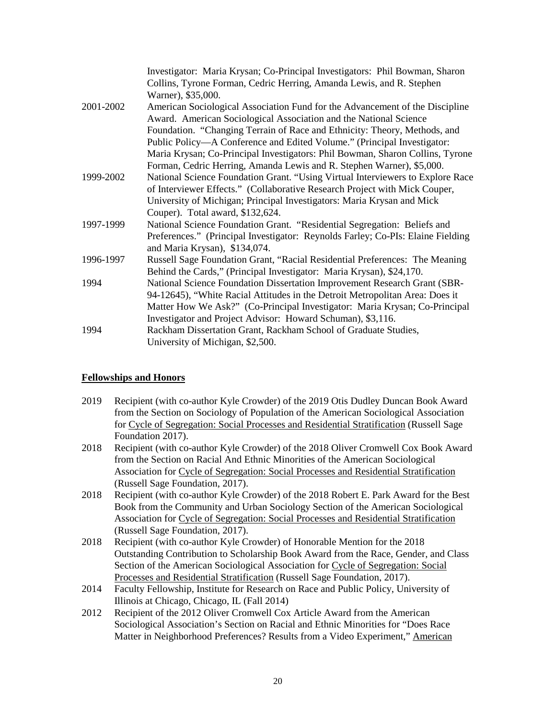|           | Investigator: Maria Krysan; Co-Principal Investigators: Phil Bowman, Sharon     |
|-----------|---------------------------------------------------------------------------------|
|           | Collins, Tyrone Forman, Cedric Herring, Amanda Lewis, and R. Stephen            |
|           | Warner), \$35,000.                                                              |
| 2001-2002 | American Sociological Association Fund for the Advancement of the Discipline    |
|           | Award. American Sociological Association and the National Science               |
|           | Foundation. "Changing Terrain of Race and Ethnicity: Theory, Methods, and       |
|           | Public Policy—A Conference and Edited Volume." (Principal Investigator:         |
|           | Maria Krysan; Co-Principal Investigators: Phil Bowman, Sharon Collins, Tyrone   |
|           | Forman, Cedric Herring, Amanda Lewis and R. Stephen Warner), \$5,000.           |
| 1999-2002 | National Science Foundation Grant. "Using Virtual Interviewers to Explore Race  |
|           | of Interviewer Effects." (Collaborative Research Project with Mick Couper,      |
|           | University of Michigan; Principal Investigators: Maria Krysan and Mick          |
|           | Couper). Total award, \$132,624.                                                |
| 1997-1999 | National Science Foundation Grant. "Residential Segregation: Beliefs and        |
|           | Preferences." (Principal Investigator: Reynolds Farley; Co-PIs: Elaine Fielding |
|           | and Maria Krysan), \$134,074.                                                   |
| 1996-1997 | Russell Sage Foundation Grant, "Racial Residential Preferences: The Meaning     |
|           | Behind the Cards," (Principal Investigator: Maria Krysan), \$24,170.            |
| 1994      | National Science Foundation Dissertation Improvement Research Grant (SBR-       |
|           | 94-12645), "White Racial Attitudes in the Detroit Metropolitan Area: Does it    |
|           | Matter How We Ask?" (Co-Principal Investigator: Maria Krysan; Co-Principal      |
|           | Investigator and Project Advisor: Howard Schuman), \$3,116.                     |
| 1994      | Rackham Dissertation Grant, Rackham School of Graduate Studies,                 |
|           | University of Michigan, \$2,500.                                                |

## **Fellowships and Honors**

| 2019 | Recipient (with co-author Kyle Crowder) of the 2019 Otis Dudley Duncan Book Award       |
|------|-----------------------------------------------------------------------------------------|
|      | from the Section on Sociology of Population of the American Sociological Association    |
|      | for Cycle of Segregation: Social Processes and Residential Stratification (Russell Sage |
|      | Foundation 2017).                                                                       |

- 2018 Recipient (with co-author Kyle Crowder) of the 2018 Oliver Cromwell Cox Book Award from the Section on Racial And Ethnic Minorities of the American Sociological Association for Cycle of Segregation: Social Processes and Residential Stratification (Russell Sage Foundation, 2017).
- 2018 Recipient (with co-author Kyle Crowder) of the 2018 Robert E. Park Award for the Best Book from the Community and Urban Sociology Section of the American Sociological Association for Cycle of Segregation: Social Processes and Residential Stratification (Russell Sage Foundation, 2017).
- 2018 Recipient (with co-author Kyle Crowder) of Honorable Mention for the 2018 Outstanding Contribution to Scholarship Book Award from the Race, Gender, and Class Section of the American Sociological Association for Cycle of Segregation: Social Processes and Residential Stratification (Russell Sage Foundation, 2017).
- 2014 Faculty Fellowship, Institute for Research on Race and Public Policy, University of Illinois at Chicago, Chicago, IL (Fall 2014)
- 2012 Recipient of the 2012 Oliver Cromwell Cox Article Award from the American Sociological Association's Section on Racial and Ethnic Minorities for "Does Race Matter in Neighborhood Preferences? Results from a Video Experiment," American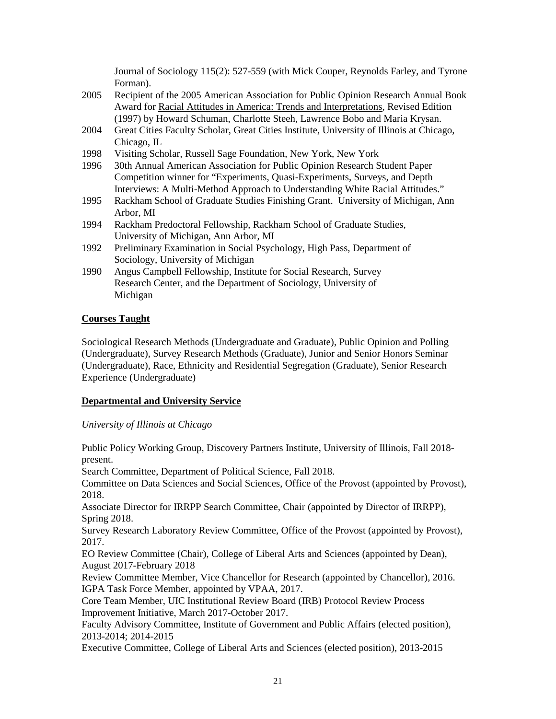Journal of Sociology 115(2): 527-559 (with Mick Couper, Reynolds Farley, and Tyrone Forman).

- 2005 Recipient of the 2005 American Association for Public Opinion Research Annual Book Award for Racial Attitudes in America: Trends and Interpretations, Revised Edition (1997) by Howard Schuman, Charlotte Steeh, Lawrence Bobo and Maria Krysan.
- 2004 Great Cities Faculty Scholar, Great Cities Institute, University of Illinois at Chicago, Chicago, IL
- 1998 Visiting Scholar, Russell Sage Foundation, New York, New York
- 1996 30th Annual American Association for Public Opinion Research Student Paper Competition winner for "Experiments, Quasi-Experiments, Surveys, and Depth Interviews: A Multi-Method Approach to Understanding White Racial Attitudes."
- 1995 Rackham School of Graduate Studies Finishing Grant. University of Michigan, Ann Arbor, MI
- 1994 Rackham Predoctoral Fellowship, Rackham School of Graduate Studies, University of Michigan, Ann Arbor, MI
- 1992 Preliminary Examination in Social Psychology, High Pass, Department of Sociology, University of Michigan
- 1990 Angus Campbell Fellowship, Institute for Social Research, Survey Research Center, and the Department of Sociology, University of Michigan

### **Courses Taught**

Sociological Research Methods (Undergraduate and Graduate), Public Opinion and Polling (Undergraduate), Survey Research Methods (Graduate), Junior and Senior Honors Seminar (Undergraduate), Race, Ethnicity and Residential Segregation (Graduate), Senior Research Experience (Undergraduate)

### **Departmental and University Service**

*University of Illinois at Chicago* 

Public Policy Working Group, Discovery Partners Institute, University of Illinois, Fall 2018 present.

Search Committee, Department of Political Science, Fall 2018.

Committee on Data Sciences and Social Sciences, Office of the Provost (appointed by Provost), 2018.

Associate Director for IRRPP Search Committee, Chair (appointed by Director of IRRPP), Spring 2018.

Survey Research Laboratory Review Committee, Office of the Provost (appointed by Provost), 2017.

EO Review Committee (Chair), College of Liberal Arts and Sciences (appointed by Dean), August 2017-February 2018

Review Committee Member, Vice Chancellor for Research (appointed by Chancellor), 2016. IGPA Task Force Member, appointed by VPAA, 2017.

Core Team Member, UIC Institutional Review Board (IRB) Protocol Review Process Improvement Initiative, March 2017-October 2017.

Faculty Advisory Committee, Institute of Government and Public Affairs (elected position), 2013-2014; 2014-2015

Executive Committee, College of Liberal Arts and Sciences (elected position), 2013-2015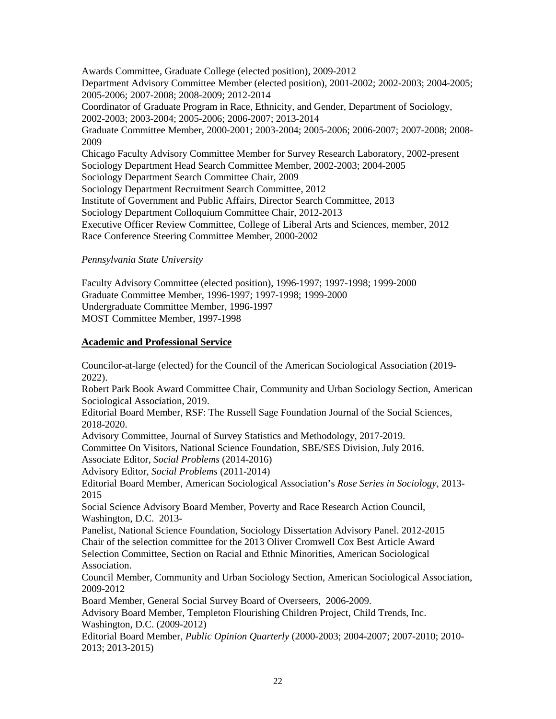Awards Committee, Graduate College (elected position), 2009-2012 Department Advisory Committee Member (elected position), 2001-2002; 2002-2003; 2004-2005; 2005-2006; 2007-2008; 2008-2009; 2012-2014 Coordinator of Graduate Program in Race, Ethnicity, and Gender, Department of Sociology, 2002-2003; 2003-2004; 2005-2006; 2006-2007; 2013-2014 Graduate Committee Member, 2000-2001; 2003-2004; 2005-2006; 2006-2007; 2007-2008; 2008- 2009 Chicago Faculty Advisory Committee Member for Survey Research Laboratory, 2002-present Sociology Department Head Search Committee Member, 2002-2003; 2004-2005 Sociology Department Search Committee Chair, 2009 Sociology Department Recruitment Search Committee, 2012 Institute of Government and Public Affairs, Director Search Committee, 2013 Sociology Department Colloquium Committee Chair, 2012-2013 Executive Officer Review Committee, College of Liberal Arts and Sciences, member, 2012 Race Conference Steering Committee Member, 2000-2002

*Pennsylvania State University* 

Faculty Advisory Committee (elected position), 1996-1997; 1997-1998; 1999-2000 Graduate Committee Member, 1996-1997; 1997-1998; 1999-2000 Undergraduate Committee Member, 1996-1997 MOST Committee Member, 1997-1998

## **Academic and Professional Service**

Councilor-at-large (elected) for the Council of the American Sociological Association (2019- 2022).

Robert Park Book Award Committee Chair, Community and Urban Sociology Section, American Sociological Association, 2019.

Editorial Board Member, RSF: The Russell Sage Foundation Journal of the Social Sciences, 2018-2020.

Advisory Committee, Journal of Survey Statistics and Methodology, 2017-2019.

Committee On Visitors, National Science Foundation, SBE/SES Division, July 2016.

Associate Editor, *Social Problems* (2014-2016)

Advisory Editor, *Social Problems* (2011-2014)

Editorial Board Member, American Sociological Association's *Rose Series in Sociology*, 2013- 2015

Social Science Advisory Board Member, Poverty and Race Research Action Council, Washington, D.C. 2013-

Panelist, National Science Foundation, Sociology Dissertation Advisory Panel. 2012-2015 Chair of the selection committee for the 2013 Oliver Cromwell Cox Best Article Award Selection Committee, Section on Racial and Ethnic Minorities, American Sociological Association.

Council Member, Community and Urban Sociology Section, American Sociological Association, 2009-2012

Board Member, General Social Survey Board of Overseers, 2006-2009.

Advisory Board Member, Templeton Flourishing Children Project, Child Trends, Inc. Washington, D.C. (2009-2012)

Editorial Board Member, *Public Opinion Quarterly* (2000-2003; 2004-2007; 2007-2010; 2010- 2013; 2013-2015)